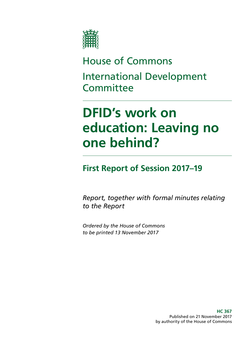

# House of Commons International Development **Committee**

# **DFID's work on education: Leaving no one behind?**

## **First Report of Session 2017–19**

*Report, together with formal minutes relating to the Report*

*Ordered by the House of Commons to be printed 13 November 2017*

> **HC 367** Published on 21 November 2017 by authority of the House of Commons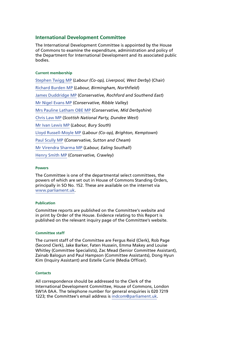### **International Development Committee**

The International Development Committee is appointed by the House of Commons to examine the expenditure, administration and policy of the Department for International Development and its associated public bodies.

#### **Current membership**

[Stephen Twigg MP](http://www.parliament.uk/biographies/commons/stephen-twigg/167) (*Labour (Co-op), Liverpool, West Derby*) (Chair) [Richard Burden MP](https://www.parliament.uk/biographies/commons/richard-burden/301) (*Labour, Birmingham, Northfield*) [James Duddridge MP](https://www.parliament.uk/biographies/commons/james-duddridge/1559) (*Conservative, Rochford and Southend East*) [Mr Nigel Evans MP](http://www.parliament.uk/biographies/commons/mr-nigel-evans/474) (*Conservative, Ribble Valley*) [Mrs Pauline Latham OBE MP](http://www.parliament.uk/biographies/commons/pauline-latham/4025) (*Conservative, Mid Derbyshire*) [Chris Law MP](https://www.parliament.uk/biographies/commons/chris-law/4403) (*Scottish National Party, Dundee West*) [Mr Ivan Lewis MP](http://www.parliament.uk/biographies/commons/mr-ivan-lewis/441) (*Labour, Bury South*) [Lloyd Russell-Moyle MP](http://www.parliament.uk/biographies/commons/lloyd-russell-moyle/4615) (*Labour (Co-op), Brighton, Kemptown*) [Paul Scully MP](http://www.parliament.uk/biographies/commons/paul-scully/4414) (*Conservative, Sutton and Cheam*) [Mr Virendra Sharma MP](http://www.parliament.uk/biographies/commons/mr-virendra-sharma/1604) (*Labour, Ealing Southall*) [Henry Smith MP](https://www.parliament.uk/biographies/commons/henry-smith/3960) (*Conservative, Crawley*)

#### **Powers**

The Committee is one of the departmental select committees, the powers of which are set out in House of Commons Standing Orders, principally in SO No. 152. These are available on the internet via [www.parliament.uk](http://www.parliament.uk).

### **Publication**

Committee reports are published on the [Committee's website](https://www.parliament.uk/business/committees/committees-a-z/commons-select/international-development-committee/) and in print by Order of the House. Evidence relating to this Report is published on the relevant [inquiry page](http://www.parliament.uk/business/committees/committees-a-z/commons-select/international-development-committee/inquiries/parliament-2015/dfids-allocation-of-resources/) of the Committee's website.

#### **Committee staff**

The current staff of the Committee are Fergus Reid (Clerk), Rob Page (Second Clerk), Jake Barker, Faten Hussein, Emma Makey and Louise Whitley (Committee Specialists), Zac Mead (Senior Committee Assistant), Zainab Balogun and Paul Hampson (Committee Assistants), Dong Hyun Kim (Inquiry Assistant) and Estelle Currie (Media Officer).

#### **Contacts**

All correspondence should be addressed to the Clerk of the International Development Committee, House of Commons, London SW1A 0AA. The telephone number for general enquiries is 020 7219 1223; the Committee's email address is [indcom@parliament.uk.](mailto:indcom@parliament.uk)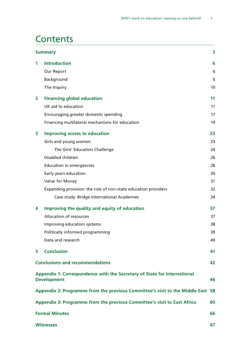## **Contents**

|                                                                                                      | 3<br><b>Summary</b>                                            |    |  |  |
|------------------------------------------------------------------------------------------------------|----------------------------------------------------------------|----|--|--|
| $\mathbf 1$                                                                                          | <b>Introduction</b>                                            | 6  |  |  |
|                                                                                                      | Our Report                                                     | 6  |  |  |
|                                                                                                      | Background                                                     | 6  |  |  |
|                                                                                                      | The Inquiry                                                    | 10 |  |  |
| $\mathbf{2}$                                                                                         | <b>Financing global education</b>                              | 11 |  |  |
|                                                                                                      | UK aid to education                                            | 11 |  |  |
|                                                                                                      | Encouraging greater domestic spending                          | 17 |  |  |
|                                                                                                      | Financing multilateral mechanisms for education                | 19 |  |  |
| 3                                                                                                    | <b>Improving access to education</b>                           | 23 |  |  |
|                                                                                                      | Girls and young women                                          | 23 |  |  |
|                                                                                                      | The Girls' Education Challenge                                 | 24 |  |  |
|                                                                                                      | Disabled children                                              | 26 |  |  |
|                                                                                                      | <b>Education in emergencies</b>                                | 28 |  |  |
|                                                                                                      | Early years education                                          | 30 |  |  |
|                                                                                                      | Value for Money                                                | 31 |  |  |
|                                                                                                      | Expanding provision: the role of non-state education providers | 32 |  |  |
|                                                                                                      | Case study: Bridge International Academies                     | 34 |  |  |
| 4                                                                                                    | Improving the quality and equity of education                  | 37 |  |  |
|                                                                                                      | Allocation of resources                                        | 37 |  |  |
|                                                                                                      | Improving education systems                                    | 38 |  |  |
|                                                                                                      | Politically informed programming                               | 39 |  |  |
|                                                                                                      | Data and research                                              | 40 |  |  |
| 5.                                                                                                   | <b>Conclusion</b>                                              | 41 |  |  |
|                                                                                                      | <b>Conclusions and recommendations</b><br>42                   |    |  |  |
| Appendix 1: Correspondence with the Secretary of State for International<br><b>Development</b><br>46 |                                                                |    |  |  |
| Appendix 2: Programme from the previous Committee's visit to the Middle East<br>58                   |                                                                |    |  |  |
| Appendix 3: Programme from the previous Committee's visit to East Africa<br>60                       |                                                                |    |  |  |
| <b>Formal Minutes</b><br>66                                                                          |                                                                |    |  |  |
| <b>Witnesses</b><br>67                                                                               |                                                                |    |  |  |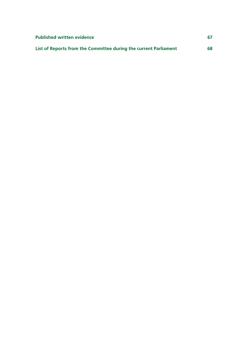| <b>Published written evidence</b>                                | 67 |
|------------------------------------------------------------------|----|
| List of Reports from the Committee during the current Parliament | 68 |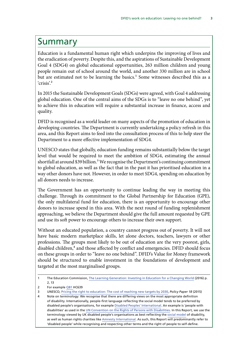## <span id="page-4-0"></span>Summary

Education is a fundamental human right which underpins the improving of lives and the eradication of poverty. Despite this, and the aspirations of Sustainable Development Goal 4 (SDG4) on global educational opportunities, 263 million children and young people remain out of school around the world, and another 330 million are in school but are estimated not to be learning the basics.<sup>1</sup> Some witnesses described this as a 'crisis'<sup>2</sup>

In 2015 the Sustainable Development Goals (SDGs) were agreed, with Goal 4 addressing global education. One of the central aims of the SDGs is to "leave no one behind", yet to achieve this in education will require a substantial increase in finance, access and quality.

DFID is recognised as a world leader on many aspects of the promotion of education in developing countries. The Department is currently undertaking a policy refresh in this area, and this Report aims to feed into the consultation process of this to help steer the Department to a more effective implementation of SDG4.

UNESCO states that globally, education funding remains substantially below the target level that would be required to meet the ambition of SDG4, estimating the annual shortfall at around \$39 billion.<sup>3</sup> We recognise the Department's continuing commitment to global education, as well as the fact that in the past it has prioritised education in a way other donors have not. However, in order to meet SDG4, spending on education by all donors needs to increase.

The Government has an opportunity to continue leading the way in meeting this challenge. Through its commitment to the Global Partnership for Education (GPE), the only multilateral fund for education, there is an opportunity to encourage other donors to increase spend in this area. With the next round of funding replenishment approaching, we believe the Department should give the full amount requested by GPE and use its soft power to encourage others to increase their own support.

Without an educated population, a country cannot progress out of poverty. It will not have basic modern marketplace skills, let alone doctors, teachers, lawyers or other professions. The groups most likely to be out of education are the very poorest, girls, disabled children,<sup>4</sup> and those affected by conflict and emergencies. DFID should focus on these groups in order to "leave no one behind". DFID's Value for Money framework should be structured to enable investment in the foundations of development and targeted at the most marginalised groups.

<sup>1</sup> The Education Commission, [The Learning Generation: Investing in Education for a Changing World](http://report.educationcommission.org/wp-content/uploads/2016/09/Learning_Generation_Full_Report.pdf) (2016) p. 2, 13

<sup>2</sup> For example [Q81](http://data.parliament.uk/writtenevidence/committeeevidence.svc/evidencedocument/international-development-committee/dfids-work-on-education-leaving-no-one-behind/oral/46366.html) HC639

<sup>3</sup> UNESCO, [Pricing the right to education: The cost of reaching new targets by 2030,](http://unesdoc.unesco.org/images/0023/002321/232197E.pdf) *Policy Paper 18* (2015)

<sup>4</sup> Note on terminology: We recognise that there are differing views on the most appropriate definition of disability. Internationally, people-first language reflecting the social model tends to be preferred by disabled people's organisations, for example [Disabled Peoples' International.](http://www.dpi.org/) An example is 'people with disabilities' as used in the [UN Convention on the Rights of Persons with Disabilities](http://www.un.org/disabilities/documents/convention/convoptprot-e.pdf). In this Report, we use the terminology viewed by UK disabled people's organisations as best reflecting the [social model](https://www.scope.org.uk/about-us/our-brand/social-model-of-disability) of disability, as well as human rights charities like [Amnesty International.](https://www.amnesty.org.uk/equality-and-diversity-policy) As such, this Report will predominantly refer to 'disabled people' while recognising and respecting other terms and the right of people to self-define.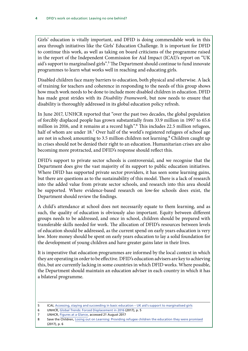Girls' education is vitally important, and DFID is doing commendable work in this area through initiatives like the Girls' Education Challenge. It is important for DFID to continue this work, as well as taking on board criticisms of the programme raised in the report of the Independent Commission for Aid Impact (ICAI)'s report on "UK aid's support to marginalised girls".<sup>5</sup> The Department should continue to fund innovate programmes to learn what works well in reaching and educating girls.

Disabled children face many barriers to education, both physical and otherwise. A lack of training for teachers and coherence in responding to the needs of this group shows how much work needs to be done to include more disabled children in education. DFID has made great strides with its *Disability Framework*, but now needs to ensure that disability is thoroughly addressed in its global education policy refresh.

In June 2017, UNHCR reported that "over the past two decades, the global population of forcibly displaced people has grown substantially from 33.9 million in 1997 to 65.6 million in 2016, and it remains at a record high".6 This includes 22.5 million refugees, half of whom are under 18.<sup>7</sup> Over half of the world's registered refugees of school age are not in school; amounting to 3.5 million children not learning.<sup>8</sup> Children caught up in crises should not be denied their right to an education. Humanitarian crises are also becoming more protracted, and DFID's response should reflect this.

DFID's support to private sector schools is controversial, and we recognise that the Department does give the vast majority of its support to public education initiatives. Where DFID has supported private sector providers, it has seen some learning gains, but there are questions as to the sustainability of this model. There is a lack of research into the added value from private sector schools, and research into this area should be supported. Where evidence-based research on low-fee schools does exist, the Department should review the findings.

A child's attendance at school does not necessarily equate to them learning, and as such, the quality of education is obviously also important. Equity between different groups needs to be addressed, and once in school, children should be prepared with transferable skills needed for work. The allocation of DFID's resources between levels of education should be addressed, as the current spend on early years education is very low. More money should be spent on early years education to lay a solid foundation for the development of young children and have greater gains later in their lives.

It is imperative that education programmes are informed by the local context in which they are operating in order to be effective. DFID's education advisers are key to achieving this, but are currently lacking in some countries in which DFID works. Where possible, the Department should maintain an education adviser in each country in which it has a bilateral programme.

- 6 UNHCR, [Global Trends: Forced Displacement in 2016](http://www.unhcr.org/5943e8a34) (2017), p. 5
- 7 UNHCR, [Figures at a Glance](http://www.unhcr.org/uk/figures-at-a-glance.html), accessed 21 August 2017

<sup>5</sup> ICAI, [Accessing, staying and succeeding in basic education – UK aid's support to marginalised girls](http://icai.independent.gov.uk/html-report/accessing-staying-succeeding-basic-education-uk-aids-support-marginalised-girls/)

<sup>8</sup> Save the Children, [Losing out on Learning: Providing refugee children the education they were promised](https://resourcecentre.savethechildren.net/library/losing-out-learning-providing-refugee-children-education-they-were-promised) (2017), p. 6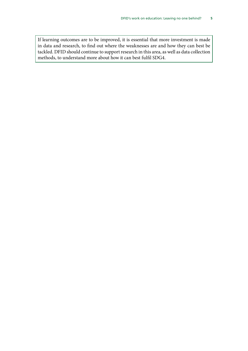If learning outcomes are to be improved, it is essential that more investment is made in data and research, to find out where the weaknesses are and how they can best be tackled. DFID should continue to support research in this area, as well as data collection methods, to understand more about how it can best fulfil SDG4.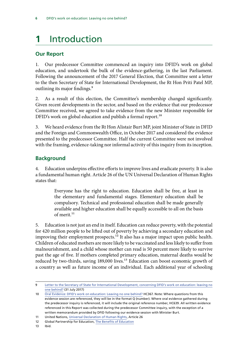## <span id="page-7-0"></span>**1** Introduction

## **Our Report**

1. Our predecessor Committee commenced an inquiry into DFID's work on global education, and undertook the bulk of the evidence-gathering, in the last Parliament. Following the announcement of the 2017 General Election, that Committee sent a letter to the then Secretary of State for International Development, the Rt Hon Priti Patel MP, outlining its major findings.<sup>9</sup>

2. As a result of this election, the Committee's membership changed significantly. Given recent developments in the sector, and based on the evidence that our predecessor Committee received, we agreed to take evidence from the new Minister responsible for DFID's work on global education and publish a formal report.<sup>10</sup>

3. We heard evidence from the Rt Hon Alistair Burt MP, joint Minister of State in DFID and the Foreign and Commonwealth Office, in October 2017 and considered the evidence presented to the predecessor Committee. Half the current Committee were not involved with the framing, evidence-taking nor informal activity of this inquiry from its inception.

## **Background**

4. Education underpins effective efforts to improve lives and eradicate poverty. It is also a fundamental human right. Article 26 of the UN Universal Declaration of Human Rights states that:

> Everyone has the right to education. Education shall be free, at least in the elementary and fundamental stages. Elementary education shall be compulsory. Technical and professional education shall be made generally available and higher education shall be equally accessible to all on the basis of merit<sup>11</sup>

5. Education is not just an end in itself. Education can reduce poverty, with the potential for 420 million people to be lifted out of poverty by achieving a secondary education and improving their employment prospects.<sup>12</sup> It also has a major impact upon public health. Children of educated mothers are more likely to be vaccinated and less likely to suffer from malnourishment, and a child whose mother can read is 50 percent more likely to survive past the age of five. If mothers completed primary education, maternal deaths would be reduced by two-thirds, saving 189,000 lives.<sup>13</sup> Education can boost economic growth of a country as well as future income of an individual. Each additional year of schooling

<sup>9</sup> [Letter to the Secretary of State for International Development, concerning DFID's work on education: leaving no](http://www.parliament.uk/documents/commons-committees/international-development/Chair-SoS-education-inquiry.pdf)  [one behind?](http://www.parliament.uk/documents/commons-committees/international-development/Chair-SoS-education-inquiry.pdf) (31 July 2017)

<sup>10</sup> [Oral Evidence: DFID's work on education: Leaving no one behind?](http://data.parliament.uk/writtenevidence/committeeevidence.svc/evidencedocument/international-development-committee/dfids-work-on-education-leaving-no-one-behind/oral/71536.html) HC367. Note: Where questions from this evidence session are referenced, they will be in the format Q (number). Where oral evidence gathered during the predecessor inquiry is referenced, it will include the original reference number, HC639. All written evidence referenced in this Report was collected during the predecessor Committee inquiry, with the exception of a written memorandum provided by DFID following our evidence session with Minister Burt.

<sup>11</sup> United Nations, [Universal Declaration of Human Rights](http://www.un.org/en/universal-declaration-human-rights/), Article 26

<sup>12</sup> Global Partnership for Education, [The Benefits of Education](http://www.globalpartnership.org/education/the-benefits-of-education)

<sup>13</sup> Ibid.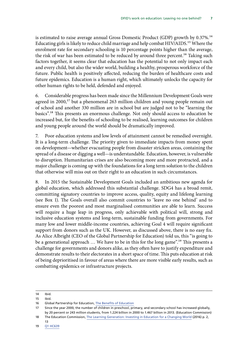is estimated to raise average annual Gross Domestic Product (GDP) growth by 0.37%.<sup>14</sup> Educating girls is likely to reduce child marriage and help combat HIV/AIDS.15 Where the enrolment rate for secondary schooling is 10 percentage points higher than the average, the risk of war has been estimated to be reduced by around three percent.<sup>16</sup> Taking such factors together, it seems clear that education has the potential to not only impact each and every child, but also the wider world, building a healthy, prosperous workforce of the future. Public health is positively affected, reducing the burden of healthcare costs and future epidemics. Education is a human right, which ultimately unlocks the capacity for other human rights to be held, defended and enjoyed.

6. Considerable progress has been made since the Millennium Development Goals were agreed in 2000,<sup>17</sup> but a phenomenal 263 million children and young people remain out of school and another 330 million are in school but are judged not to be "learning the basics".18 This presents an enormous challenge. Not only should access to education be increased but, for the benefits of schooling to be realised, learning outcomes for children and young people around the world should be dramatically improved.

7. Poor education systems and low levels of attainment cannot be remedied overnight. It is a long-term challenge. The priority given to immediate impacts from money spent on development—whether evacuating people from disaster stricken areas, containing the spread of a disease or digging a well—is understandable. Education, however, is vulnerable to disruption. Humanitarian crises are also becoming more and more protracted, and a major challenge is coming up with the foundations for a long term solution to the children that otherwise will miss out on their right to an education in such circumstances.

8. In 2015 the Sustainable Development Goals included an ambitious new agenda for global education, which addressed this substantial challenge. SDG4 has a broad remit, committing signatory countries to improve access, quality, equity and lifelong learning (see Box 1). The Goals overall also commit countries to 'leave no one behind' and to ensure even the poorest and most marginalised communities are able to learn. Success will require a huge leap in progress, only achievable with political will, strong and inclusive education systems and long-term, sustainable funding from governments. For many low and lower middle-income countries, achieving Goal 4 will require significant support from donors such as the UK. However, as discussed above, there is no easy fix. As Alice Albright (CEO of the Global Partnership for Education) told us, this "is going to be a generational approach ... We have to be in this for the long game".<sup>19</sup> This presents a challenge for governments and donors alike, as they often have to justify expenditure and demonstrate results to their electorates in a short space of time. This puts education at risk of being deprioritised in favour of areas where there are more visible early results, such as combatting epidemics or infrastructure projects.

<sup>14</sup> Ibid. 15 Ibid.

<sup>16</sup> Global Partnership for Education, [The Benefits of Education](http://www.globalpartnership.org/education/the-benefits-of-education)

<sup>17</sup> Since the year 2000, the number of children in preschool, primary, and secondary school has increased globally, by 20 percent or 243 million students, from 1.224 billion in 2000 to 1.467 billion in 2013. (Education Commission)

<sup>18</sup> The Education Commission, [The Learning Generation: Investing in Education for a Changing World](http://report.educationcommission.org/wp-content/uploads/2016/09/Learning_Generation_Full_Report.pdf) (2016) p. 2, 13

<sup>19</sup> [Q1](http://data.parliament.uk/writtenevidence/committeeevidence.svc/evidencedocument/international-development-committee/dfids-work-on-education-leaving-no-one-behind/oral/42656.html) HC639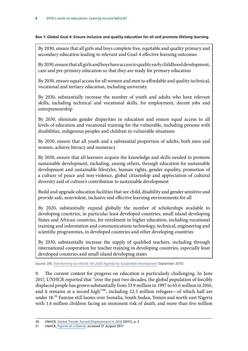### **Box 1: Global Goal 4: Ensure inclusive and quality education for all and promote lifelong learning**

By 2030, ensure that all girls and boys complete free, equitable and quality primary and secondary education leading to relevant and Goal-4 effective learning outcomes

By 2030, ensure that all girls and boys have access to quality early childhood development, care and pre-primary education so that they are ready for primary education

By 2030, ensure equal access for all women and men to affordable and quality technical, vocational and tertiary education, including university

By 2030, substantially increase the number of youth and adults who have relevant skills, including technical and vocational skills, for employment, decent jobs and entrepreneurship

By 2030, eliminate gender disparities in education and ensure equal access to all levels of education and vocational training for the vulnerable, including persons with disabilities, indigenous peoples and children in vulnerable situations

By 2030, ensure that all youth and a substantial proportion of adults, both men and women, achieve literacy and numeracy

By 2030, ensure that all learners acquire the knowledge and skills needed to promote sustainable development, including, among others, through education for sustainable development and sustainable lifestyles, human rights, gender equality, promotion of a culture of peace and non-violence, global citizenship and appreciation of cultural diversity and of culture's contribution to sustainable development

Build and upgrade education facilities that are child, disability and gender sensitive and provide safe, nonviolent, inclusive and effective learning environments for all

By 2020, substantially expand globally the number of scholarships available to developing countries, in particular least developed countries, small island developing States and African countries, for enrolment in higher education, including vocational training and information and communications technology, technical, engineering and scientific programmes, in developed countries and other developing countries

By 2030, substantially increase the supply of qualified teachers, including through international cooperation for teacher training in developing countries, especially least developed countries and small island developing states

Source: UN, [Transforming our World: the 2030 Agenda for Sustainable Development](https://sustainabledevelopment.un.org/post2015/transformingourworld/publication) (September 2015)

9. The current context for progress on education is particularly challenging. In June 2017, UNHCR reported that "over the past two decades, the global population of forcibly displaced people has grown substantially from 33.9 million in 1997 to 65.6 million in 2016, and it remains at a record high"20, including 22.5 million refugees—of which half are under 18.<sup>21</sup> Famine still looms over Somalia, South Sudan, Yemen and north-east Nigeria with 1.4 million children facing an imminent risk of death, and more than five million

<sup>20</sup> UNHCR, [Global Trends: Forced Displacement in 2016](http://www.unhcr.org/5943e8a34) (2017), p. 5

<sup>21</sup> UNHCR, [Figures at a Glance,](http://www.unhcr.org/uk/figures-at-a-glance.html) accessed 21 August 2017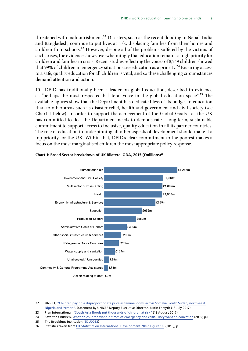threatened with malnourishment.<sup>22</sup> Disasters, such as the recent flooding in Nepal, India and Bangladesh, continue to put lives at risk, displacing families from their homes and children from schools.23 However, despite all of the problems suffered by the victims of such crises, the evidence shows overwhelmingly that education remains a high priority for children and families in crisis. Recent studies reflecting the voices of 8,749 children showed that 99% of children in emergency situations see education as a priority.<sup>24</sup> Ensuring access to a safe, quality education for all children is vital, and so these challenging circumstances demand attention and action.

10. DFID has traditionally been a leader on global education, described in evidence as "perhaps the most respected bi-lateral voice in the global education space".<sup>25</sup> The available figures show that the Department has dedicated less of its budget to education than to other areas such as disaster relief, health and government and civil society (see chart 1 below). In order to support the achievement of the Global Goals—as the UK has committed to do—the Department needs to demonstrate a long-term, sustainable commitment to support access to inclusive, quality education in all its partner countries. EUT THE READTE ACCESS TO THE RESPONSION TO THE REPORT THE REPORT TO SUPPORT ACCESS. The role of education in underpinning all other aspects of development should make it a top priority for the UK. Within that, DFID's clear commitment to the poorest makes a focus on the most marginalised children the most appropriate policy response.



### **Chart 1: Broad Sector breakdown of UK Bilateral ODA, 2015 (£ millions)<sup>26</sup>**

 31 These broad sectors align with the OECD DAC definition of broad sectors. For more information on DAC broad 22 UNICEF, ["Children paying a disproportionate price as famine looms across Somalia, South Sudan, north-east](https://www.unicef.org/media/media_96651.html)  Nigeria and Yemen", Statement by UNICEF Deputy Executive Director, Justin Forsyth (18 July 2017)

23 Plan International, "South Asia floods put thousands of children at risk" (18 August 2017)

24 Save the Children,  $\frac{What}{d}$  do children want in times of emergency and crisis? They want an education (2015) p.1

25 The Brookings Institution ([EDU0052\)](http://data.parliament.uk/writtenevidence/committeeevidence.svc/evidencedocument/international-development-committee/dfids-work-on-education-leaving-no-one-behind/written/40129.html)

26 Statistics taken from [UK Statistics on International Development 2016: Figure 16,](https://www.gov.uk/government/uploads/system/uploads/attachment_data/file/572063/statistics-on-international-development-2016a.pdf) (2016), p. 36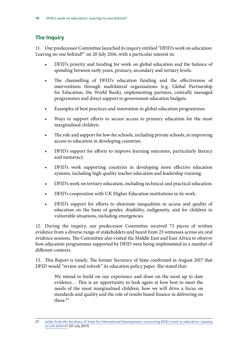## <span id="page-11-0"></span>**The Inquiry**

11. Our predecessor Committee launched its inquiry entitled "DFID's work on education: Leaving no one behind?" on 20 July 2016, with a particular interest in:

- DFID's priority and funding for work on global education and the balance of spending between early years, primary, secondary and tertiary levels.
- The channelling of DFID's education funding and the effectiveness of interventions through multilateral organisations (e.g. Global Partnership for Education, the World Bank), implementing partners, centrally managed programmes and direct support to government education budgets.
- Examples of best practices and innovation in global education programmes.
- Ways to support efforts to secure access to primary education for the most marginalised children.
- The role and support for low-fee schools, including private schools, in improving access to education in developing countries.
- DFID's support for efforts to improve learning outcomes, particularly literacy and numeracy.
- DFID's work supporting countries in developing more effective education systems, including high quality teacher education and leadership training.
- DFID's work on tertiary education, including technical and practical education.
- DFID's cooperation with UK Higher Education institutions in its work.
- DFID's support for efforts to eliminate inequalities in access and quality of education on the basis of gender, disability, indigeneity, and for children in vulnerable situations, including emergencies.

12. During the inquiry, our predecessor Committee received 73 pieces of written evidence from a diverse range of stakeholders and heard from 23 witnesses across six oral evidence sessions. The Committee also visited the Middle East and East Africa to observe how education programmes supported by DFID were being implemented in a number of different contexts.

13. This Report is timely. The former Secretary of State confirmed in August 2017 that DFID would "review and refresh" its education policy paper. She stated that:

> We intend to build on our experience and draw on the most up to date evidence… This is an opportunity to look again at how best to meet the needs of the most marginalised children, how we will drive a focus on standards and quality and the role of results based finance in delivering on these.<sup>27</sup>

<sup>27</sup> [Letter from the Secretary of State for International Development, concerning DFID's work on education: Leaving](http://www.parliament.uk/documents/commons-committees/international-development/SoS-letter-regarding-DFIDs-work-on-education.pdf) [no one behind?](http://www.parliament.uk/documents/commons-committees/international-development/SoS-letter-regarding-DFIDs-work-on-education.pdf) (31 July 2017)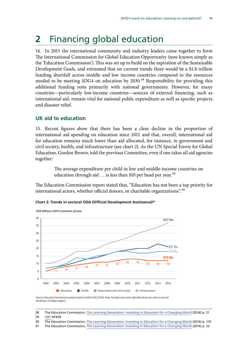## <span id="page-12-0"></span>**2** Financing global education

14. In 2015 the international community and industry leaders came together to form The International Commission for Global Education Opportunity (now known simply as the 'Education Commission'). This was set up to build on the aspiration of the Sustainable Development Goals, and estimated that on current trends there would be a \$1.8 trillion funding shortfall across middle and low income countries compared to the resources needed to be meeting SDG4 on education by 2030.<sup>28</sup> Responsibility for providing this additional funding rests primarily with national governments. However, for many countries—particularly low-income countries—sources of external financing, such as international aid, remain vital for national public expenditure as well as specific projects and disaster relief.

## **UK aid to education**

15. Recent figures show that there has been a clear decline in the proportion of international aid spending on education since 2011 and that, overall, international aid for education remains much lower than aid allocated, for instance, to government and civil society, health, and infrastructure (see chart 2). As the UN Special Envoy for Global Education, Gordon Brown, told the previous Committee, even if one takes all aid agencies together:

> The average expenditure per child in low and middle-income countries on education through aid ... is less than \$10 per head per year.<sup>29</sup>

The Education Commission report stated that, "Education has not been a top priority for international actors, whether official donors, or charitable organizations".<sup>30</sup>

## **Chart 2: Trends in sectoral ODA (Official Development Assistance)31** Trends in sectoral ODA



Source: Education Commission analysis based on OECD-DAC (2016). Note: Includes only sector-allocable direct aid, with no sectoral attribution of budget support.

- 30 The Education Commission, [The Learning Generation: Investing in Education for a Changing World](http://report.educationcommission.org/wp-content/uploads/2016/09/Learning_Generation_Full_Report.pdf) (2016) p. 110 of growth in public education spending of 7 percent. **tion and improve its effectiveness.** The Commission
- Governments should devote more of the proceeding 31 The Education Commission, [The Learning Generation: Investing in Education for a Changing World](http://report.educationcommission.org/wp-content/uploads/2016/09/Learning_Generation_Full_Report.pdf) (2016) p. 22

<sup>28</sup> The Education Commission, [The Learning Generation: Investing in Education for a Changing World](http://report.educationcommission.org/wp-content/uploads/2016/09/Learning_Generation_Full_Report.pdf) (2016) p. 21 **financial institutions, investors, and philanthropists** 

estimated **29** [Q81](http://data.parliament.uk/writtenevidence/committeeevidence.svc/evidencedocument/international-development-committee/dfids-work-on-education-leaving-no-one-behind/oral/46366.html) HC639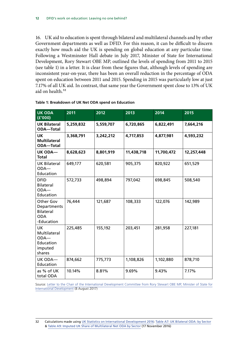16. UK aid to education is spent through bilateral and multilateral channels and by other Government departments as well as DFID. For this reason, it can be difficult to discern exactly how much aid the UK is spending on global education at any particular time. Following a Westminster Hall debate in July 2017, Minister of State for International Development, Rory Stewart OBE MP, outlined the levels of spending from 2011 to 2015 (see table 1) in a letter. It is clear from these figures that, although levels of spending are inconsistent year-on-year, there has been an overall reduction in the percentage of ODA spent on education between 2011 and 2015. Spending in 2015 was particularly low at just 7.17% of all UK aid. In contrast, that same year the Government spent close to 13% of UK aid on health.<sup>32</sup>

| <b>UK ODA</b><br>(f'000)                                                 | 2011      | 2012      | 2013       | 2014       | 2015       |
|--------------------------------------------------------------------------|-----------|-----------|------------|------------|------------|
| <b>UK Bilateral</b><br><b>ODA-Total</b>                                  | 5,259,832 | 5,559,707 | 6,720,865  | 6,822,491  | 7,664,216  |
| UK<br><b>Multilateral</b><br><b>ODA-Total</b>                            | 3,368,791 | 3,242,212 | 4,717,853  | 4,877,981  | 4,593,232  |
| <b>UK ODA-</b><br><b>Total</b>                                           | 8,628,623 | 8,801,919 | 11,438,718 | 11,700,472 | 12,257,448 |
| <b>UK Bilateral</b><br>$ODA$ —<br>Education                              | 649,177   | 620,581   | 905,375    | 820,922    | 651,529    |
| <b>DFID</b><br>Bilateral<br>$ODA$ —<br>Education                         | 572,733   | 498,894   | 797,042    | 698,845    | 508,540    |
| Other Gov<br>Departments<br><b>Bilateral</b><br><b>ODA</b><br>-Education | 76,444    | 121,687   | 108,333    | 122,076    | 142,989    |
| <b>UK</b><br>Multilateral<br>$ODA$ —<br>Education<br>imputed<br>shares   | 225,485   | 155,192   | 203,451    | 281,958    | 227,181    |
| UK ODA-<br>Education                                                     | 874,662   | 775,773   | 1,108,826  | 1,102,880  | 878,710    |
| as % of UK<br>total ODA                                                  | 10.14%    | 8.81%     | 9.69%      | 9.43%      | 7.17%      |

Source: [Letter to the Chair of the International Development Committee from Rory Stewart OBE MP, Minister of State for](http://www.parliament.uk/documents/commons-committees/international-development/MinisterofStatelettereducation.pdf) [International Development](http://www.parliament.uk/documents/commons-committees/international-development/MinisterofStatelettereducation.pdf) (8 August 2017)

<sup>32</sup> Calculations made using [UK Statistics on International Development 2016](https://www.gov.uk/government/statistics/statistics-on-international-development-2016): [Table A7: UK Bilateral ODA: by Sector](https://www.gov.uk/government/uploads/system/uploads/attachment_data/file/570202/table-a-7.ods) & [Table A9: Imputed UK Share of Multilateral Net ODA by Sector](https://www.gov.uk/government/uploads/system/uploads/attachment_data/file/619283/table-a-9c.ods) (17 November 2016)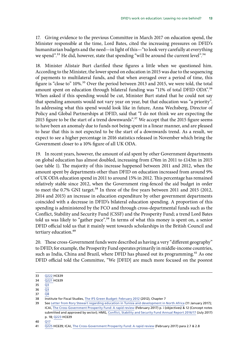17. Giving evidence to the previous Committee in March 2017 on education spend, the Minister responsible at the time, Lord Bates, cited the increasing pressures on DFID's humanitarian budgets and the need—in light of this—"to look very carefully at everything we spend".<sup>33</sup> He did, however, state that spending "will be around the current level".<sup>34</sup>

18. Minister Alistair Burt clarified these figures a little when we questioned him. According to the Minister, the lower spend on education in 2015 was due to the sequencing of payments to multilateral funds, and that when averaged over a period of time, this figure is "close to" 10%.<sup>35</sup> Over the period between 2013 and 2015, we were told, the total amount spent on education through bilateral funding was "11% of total DFID ODA".<sup>36</sup> When asked if this spending would be cut, Minister Burt stated that he could not say that spending amounts would not vary year on year, but that education was "a priority". In addressing what this spend would look like in future, Anna Wechsberg, Director of Policy and Global Partnerships at DFID, said that "I do not think we are expecting the 2015 figure to be the start of a trend downwards".<sup>37</sup> We accept that the 2015 figure seems to have been an anomaly due to funds not being spent in a linear manner, and are pleased to hear that this is not expected to be the start of a downwards trend. As a result, we expect to see a higher percentage in 2016 statistics released in November which bring the Government closer to a 10% figure of all UK ODA.

19. In recent years, however, the amount of aid spent by other Government departments on global education has almost doubled, increasing from £76m in 2011 to £143m in 2015 (see table 1). The majority of this increase happened between 2011 and 2012, when the amount spent by departments other than DFID on education increased from around 9% of UK ODA education spend in 2011 to around 15% in 2012. This percentage has remained relatively stable since 2012, when the Government ring-fenced the aid budget in order to meet the 0.7% GNI target.<sup>38</sup> In three of the five years between 2011 and 2015 (2012, 2014 and 2015) an increase in education expenditure by other government departments coincided with a decrease in DFID's bilateral education spending. A proportion of this spending is administered by the FCO and through cross-departmental funds such as the Conflict, Stability and Security Fund (CSSF) and the Prosperity Fund; a trend Lord Bates told us was likely to "gather pace".<sup>39</sup> In terms of what this money is spent on, a senior DFID official told us that it mainly went towards scholarships in the British Council and tertiary education.<sup>40</sup>

20. These cross-Government funds were described as having a very "different geography" to DFID; for example, the Prosperity Fund operates primarily in middle-income countries, such as India, China and Brazil, where DFID has phased out its programming.<sup>41</sup> As one DFID official told the Committee, "We [DFID] are much more focused on the poorest

<sup>33</sup> [Q222](http://data.parliament.uk/writtenevidence/committeeevidence.svc/evidencedocument/international-development-committee/dfids-work-on-education-leaving-no-one-behind/oral/49579.html) HC639

<sup>34</sup> [Q221](http://data.parliament.uk/writtenevidence/committeeevidence.svc/evidencedocument/international-development-committee/dfids-work-on-education-leaving-no-one-behind/oral/49579.html) HC639

<sup>35</sup> [Q3](http://data.parliament.uk/writtenevidence/committeeevidence.svc/evidencedocument/international-development-committee/dfids-work-on-education-leaving-no-one-behind/oral/71536.html)

<sup>36</sup> [Q3](http://data.parliament.uk/writtenevidence/committeeevidence.svc/evidencedocument/international-development-committee/dfids-work-on-education-leaving-no-one-behind/oral/71536.html)

<sup>37</sup> [Q8](http://data.parliament.uk/writtenevidence/committeeevidence.svc/evidencedocument/international-development-committee/dfids-work-on-education-leaving-no-one-behind/oral/71536.html)

<sup>38</sup> Institute for Fiscal Studies, [The IFS Green Budget: February 2012](https://www.ifs.org.uk/budgets/gb2012/12chap7.pdf) (2012), Chapter 7

<sup>39</sup> See [Letter from Rory Stewart regarding education in Tunisia and development in North Africa](http://www.parliament.uk/documents/commons-committees/international-development/Letter-from-DFID-regarding-education-Tunisia.pdf) (11 January 2017); ICAI, [The Cross-Government Prosperity Fund: A rapid review](http://icai.independent.gov.uk/wp-content/uploads/Rapid-Review-of-the-Prosperity-Fund.pdf) (February 2017) p. i (objectives) & 12 (Concept notes submitted and approved by sector); HMG, [Conflict, Stability and Security Fund Annual Report 2016/17](https://www.gov.uk/government/uploads/system/uploads/attachment_data/file/630077/conflict-stability-security-fund-annual-report-2016-2017.pdf) (July 2017) p. 18; [Q223](http://data.parliament.uk/writtenevidence/committeeevidence.svc/evidencedocument/international-development-committee/dfids-work-on-education-leaving-no-one-behind/oral/49579.html) HC639

<sup>40</sup> [Q17](http://data.parliament.uk/writtenevidence/committeeevidence.svc/evidencedocument/international-development-committee/dfids-work-on-education-leaving-no-one-behind/oral/71536.html)

<sup>41</sup> [Q225](http://data.parliament.uk/writtenevidence/committeeevidence.svc/evidencedocument/international-development-committee/dfids-work-on-education-leaving-no-one-behind/oral/49579.html) HC639; ICAI, [The Cross-Government Prosperity Fund: A rapid review](http://icai.independent.gov.uk/wp-content/uploads/Rapid-Review-of-the-Prosperity-Fund.pdf) (February 2017) para 2.7 & 2.8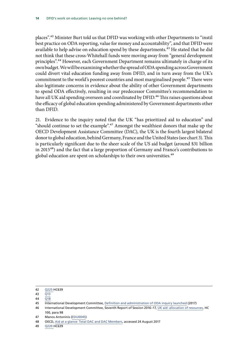places".42 Minister Burt told us that DFID was working with other Departments to "instil best practice on ODA reporting, value for money and accountability", and that DFID were available to help advise on education spend by these departments.<sup>43</sup> He stated that he did not think that these cross-Whitehall funds were moving away from "general development principles".44 However, each Government Department remains ultimately in charge of its own budget. We will be examining whether the spread of ODA spending across Government could divert vital education funding away from DFID, and in turn away from the UK's commitment to the world's poorest countries and most marginalised people.<sup>45</sup> There were also legitimate concerns in evidence about the ability of other Government departments to spend ODA effectively, resulting in our predecessor Committee's recommendation to have all UK aid spending overseen and coordinated by DFID.<sup>46</sup> This raises questions about the efficacy of global education spending administered by Government departments other than DFID.

21. Evidence to the inquiry noted that the UK "has prioritized aid to education" and "should continue to set the example". $47$  Amongst the wealthiest donors that make up the OECD Development Assistance Committee (DAC), the UK is the fourth largest bilateral donor to global education, behind Germany, France and the United States (see chart 3). This is particularly significant due to the sheer scale of the US aid budget (around \$31 billion in 2015<sup>48</sup>) and the fact that a large proportion of Germany and France's contributions to global education are spent on scholarships to their own universities.<sup>49</sup>

49 [Q220](http://data.parliament.uk/writtenevidence/committeeevidence.svc/evidencedocument/international-development-committee/dfids-work-on-education-leaving-no-one-behind/oral/49579.html) HC639

<sup>42</sup> [Q225](http://data.parliament.uk/writtenevidence/committeeevidence.svc/evidencedocument/international-development-committee/dfids-work-on-education-leaving-no-one-behind/oral/49579.html) HC639

<sup>43</sup> [Q13](http://data.parliament.uk/writtenevidence/committeeevidence.svc/evidencedocument/international-development-committee/dfids-work-on-education-leaving-no-one-behind/oral/71536.html)

 $44 \overline{018}$ 

<sup>45</sup> International Development Committee, [Definition and administration of ODA inquiry launched](http://www.parliament.uk/business/committees/committees-a-z/commons-select/international-development-committee/news-parliament-2017/administration-of-oda-launch-17-19/) (2017)

<sup>46</sup> International Development Committee, Seventh Report of Session 2016–17, [UK aid: allocation of resources](https://publications.parliament.uk/pa/cm201617/cmselect/cmintdev/100/10002.htm), HC 100, para 98

<sup>47</sup> Manos Antoninis ([EDU0045\)](http://data.parliament.uk/writtenevidence/committeeevidence.svc/evidencedocument/international-development-committee/department-for-international-developments-work-on-education-leaving-no-one-behind/written/38462.html)

<sup>48</sup> OECD, Aid at a glance: Total DAC and DAC Members, accessed 24 August 2017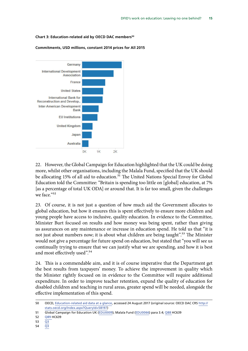#### **Chart 3: Education-related aid by OECD DAC members50**



**Commitments, USD millions, constant 2014 prices for All 2015**

22. However, the Global Campaign for Education highlighted that the UK could be doing more, whilst other organisations, including the Malala Fund, specified that the UK should be allocating 15% of all aid to education.<sup>51</sup> The United Nations Special Envoy for Global Education told the Committee: "Britain is spending too little on [global] education, at 7% [as a percentage of total UK ODA] or around that. It is far too small, given the challenges we face."<sup>52</sup>

23. Of course, it is not just a question of how much aid the Government allocates to global education, but how it ensures this is spent effectively to ensure more children and young people have access to inclusive, quality education. In evidence to the Committee, Minister Burt focused on results and how money was being spent, rather than giving us assurances on any maintenance or increase in education spend. He told us that "it is not just about numbers now; it is about what children are being taught".<sup>53</sup> The Minister would not give a percentage for future spend on education, but stated that "you will see us continually trying to ensure that we can justify what we are spending, and how it is best and most effectively used".<sup>54</sup>

24. This is a commendable aim, and it is of course imperative that the Department get the best results from taxpayers' money. To achieve the improvement in quality which the Minister rightly focused on in evidence to the Committee will require additional expenditure. In order to improve teacher retention, expand the quality of education for disabled children and teaching in rural areas, greater spend will be needed, alongside the effective implementation of this spend.

51 Global Campaign for Education UK [\(EDU0009](http://data.parliament.uk/writtenevidence/committeeevidence.svc/evidencedocument/international-development-committee/dfids-work-on-education-leaving-no-one-behind/written/38227.html)); Malala Fund [\(EDU0066](http://data.parliament.uk/writtenevidence/committeeevidence.svc/evidencedocument/international-development-committee/dfids-work-on-education-leaving-no-one-behind/written/46890.html)) para 3.4; [Q88](http://data.parliament.uk/writtenevidence/committeeevidence.svc/evidencedocument/international-development-committee/dfids-work-on-education-leaving-no-one-behind/oral/46366.html) HC639

- 53 [Q3](http://data.parliament.uk/writtenevidence/committeeevidence.svc/evidencedocument/international-development-committee/dfids-work-on-education-leaving-no-one-behind/oral/71536.html)
- 54 [Q3](http://data.parliament.uk/writtenevidence/committeeevidence.svc/evidencedocument/international-development-committee/dfids-work-on-education-leaving-no-one-behind/oral/71536.html)

<sup>50</sup> OECD, [Education-related aid data at a glance](http://www.oecd.org/dac/stats/education-related-aid-data.htm), accessed 24 August 2017 (original source: OECD DAC CRS [http://](http://stats.oecd.org/Index.aspx?QueryId=58197) [stats.oecd.org/Index.aspx?QueryId=58197](http://stats.oecd.org/Index.aspx?QueryId=58197))

<sup>52</sup> [Q89](http://data.parliament.uk/writtenevidence/committeeevidence.svc/evidencedocument/international-development-committee/dfids-work-on-education-leaving-no-one-behind/oral/46366.html) HC639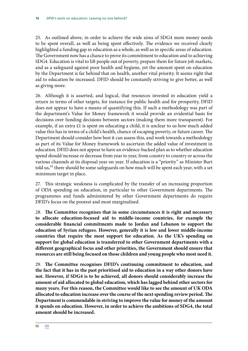25. As outlined above, in order to achieve the wide aims of SDG4 more money needs to be spent overall, as well as being spent effectively. The evidence we received clearly highlighted a funding gap in education as a whole, as well as in specific areas of education. The Government now has a chance to prove its commitment to education and to achieving SDG4. Education is vital to lift people out of poverty, prepare them for future job markets, and as a safeguard against poor health and hygiene, yet the amount spent on education by the Department is far behind that on health, another vital priority. It seems right that aid to education be increased. DFID should be constantly striving to give better, as well as giving more.

26. Although it is asserted, and logical, that resources invested in education yield a return in terms of other targets, for instance for public health and for prosperity, DFID does not appear to have a means of quantifying this. If such a methodology was part of the department's Value for Money framework it would provide an evidential basis for decisions over funding decisions between sectors (making them more transparent). For example, if an extra £1 is spent on educating a child, it is unclear to us how much added value this has in terms of a child's health, chance of escaping poverty, or future career. The Department should consider how best it can assess this, and work towards a methodology as part of its Value for Money framework to ascertain the added value of investment in education. DFID does not appear to have an evidence-backed plan as to whether education spend should increase or decrease from year to year, from country to country or across the various channels at its disposal year on year. If education is a "priority" as Minister Burt told us,<sup>55</sup> there should be some safeguards on how much will be spent each year, with a set minimum target in place.

27. This strategic weakness is complicated by the transfer of an increasing proportion of ODA spending on education, in particular to other Government departments. The programmes and funds administered by other Government departments do require DFID's focus on the poorest and most marginalised.

28. The Committee recognises that in some circumstances it is right and necessary **to allocate education-focused aid to middle-income countries, for example the considerable financial commitments made to Jordan and Lebanon to support the education of Syrian refugees. However, generally it is low and lower middle-income countries that require the most support for education. As the UK's spending on support for global education is transferred to other Government departments with a different geographical focus and other priorities, the Government should ensure that resources are still being focused on those children and young people who most need it.**

29. The Committee recognises DFID's continuing commitment to education, and **the fact that it has in the past prioritised aid to education in a way other donors have not. However, if SDG4 is to be achieved, all donors should considerably increase the amount of aid allocated to global education, which has lagged behind other sectors for many years. For this reason, the Committee would like to see the amount of UK ODA allocated to education increase over the course of the next spending review period. The Department is commendable in striving to improve the value for money of the amount it spends on education. However, in order to achieve the ambitions of SDG4, the total amount should be increased.**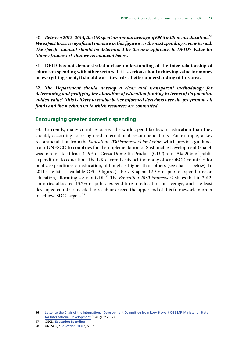<span id="page-18-0"></span>30. *Between 2012–2015, the UK spent an annual average of £966 million on education.*56 *We expect to see a significant increase in this figure over the next spending review period. The specific amount should be determined by the new approach to DFID's Value for Money framework that we recommend below.*

31. **DFID has not demonstrated a clear understanding of the inter-relationship of education spending with other sectors. If it is serious about achieving value for money on everything spent, it should work towards a better understanding of this area.**

32. The Department should develop a clear and transparent methodology for *determining and justifying the allocation of education funding in terms of its potential 'added value'. This is likely to enable better informed decisions over the programmes it funds and the mechanism to which resources are committed.*

### **Encouraging greater domestic spending**

33. Currently, many countries across the world spend far less on education than they should, according to recognised international recommendations. For example, a key recommendation from the *Education 2030 Framework for Action*, which provides guidance from UNESCO to countries for the implementation of Sustainable Development Goal 4, was to allocate at least 4–6% of Gross Domestic Product (GDP) and 15%-20% of public expenditure to education. The UK currently sits behind many other OECD countries for public expenditure on education, although is higher than others (see chart 4 below). In 2014 (the latest available OECD figures), the UK spent 12.5% of public expenditure on education, allocating 4.8% of GDP.57 The *Education 2030 Framework* states that in 2012, countries allocated 13.7% of public expenditure to education on average, and the least developed countries needed to reach or exceed the upper end of this framework in order to achieve SDG targets.<sup>58</sup>

<sup>56</sup> [Letter to the Chair of the International Development Committee from Rory Stewart OBE MP, Minister of State](http://www.parliament.uk/documents/commons-committees/international-development/MinisterofStatelettereducation.pdf)  [for International Development](http://www.parliament.uk/documents/commons-committees/international-development/MinisterofStatelettereducation.pdf) (8 August 2017)

<sup>57</sup> OECD, Education Spending

<sup>58</sup> UNESCO, "[Education 2030"](http://unesdoc.unesco.org/images/0024/002456/245656e.pdf), p. 67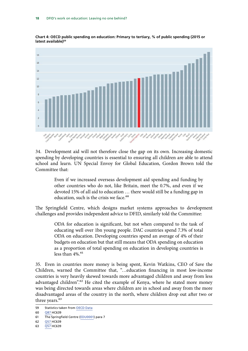

**Chart 4: OECD public spending on education: Primary to tertiary, % of public spending (2015 or latest available)59**

34. Development aid will not therefore close the gap on its own. Increasing domestic spending by developing countries is essential to ensuring all children are able to attend school and learn. UN Special Envoy for Global Education, Gordon Brown told the Committee that:

> Even if we increased overseas development aid spending and funding by other countries who do not, like Britain, meet the 0.7%, and even if we devoted 15% of all aid to education … there would still be a funding gap in education, such is the crisis we face.<sup>60</sup>

The Springfield Centre, which designs market systems approaches to development challenges and provides independent advice to DFID, similarly told the Committee:

> ODA for education is significant, but not when compared to the task of educating well over 1bn young people. DAC countries spend 7.3% of total ODA on education. Developing countries spend an average of 4% of their budgets on education but that still means that ODA spending on education as a proportion of total spending on education in developing countries is less than  $4\%$ .<sup>61</sup>

35. Even in countries more money is being spent, Kevin Watkins, CEO of Save the Children, warned the Committee that, "…education financing in most low-income countries is very heavily skewed towards more advantaged children and away from less advantaged children".<sup>62</sup> He cited the example of Kenya, where he stated more money was being directed towards areas where children are in school and away from the more disadvantaged areas of the country in the north, where children drop out after two or three years.<sup>63</sup>

<sup>59</sup> Statistics taken from [OECD Data](https://data.oecd.org/eduresource/public-spending-on-education.htm)

<sup>60</sup> [Q87](http://data.parliament.uk/writtenevidence/committeeevidence.svc/evidencedocument/international-development-committee/dfids-work-on-education-leaving-no-one-behind/oral/46366.html) HC639

<sup>61</sup> The Springfield Centre ([EDU0001](http://data.parliament.uk/writtenevidence/committeeevidence.svc/evidencedocument/international-development-committee/dfids-work-on-education-leaving-no-one-behind/written/35986.html)) para 7

<sup>62</sup> [Q57](http://data.parliament.uk/writtenevidence/committeeevidence.svc/evidencedocument/international-development-committee/dfids-work-on-education-leaving-no-one-behind/oral/45291.html) HC639

<sup>63</sup> [Q57](http://data.parliament.uk/writtenevidence/committeeevidence.svc/evidencedocument/international-development-committee/dfids-work-on-education-leaving-no-one-behind/oral/45291.html) HC639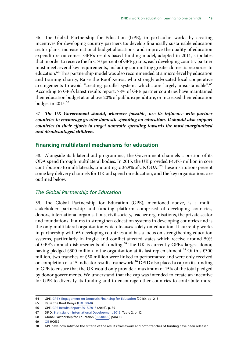<span id="page-20-0"></span>36. The Global Partnership for Education (GPE), in particular, works by creating incentives for developing country partners to: develop financially sustainable education sector plans; increase national budget allocations; and improve the quality of education expenditure outcomes. GPE's results-based funding model, adopted in 2014, stipulates that in order to receive the first 70 percent of GPE grants, each developing country partner must meet several key requirements, including committing greater domestic resources to education.<sup>64</sup> This partnership model was also recommended at a micro-level by education and training charity, Raise the Roof Kenya, who strongly advocated local cooperative arrangements to avoid "creating parallel systems which…are largely unsustainable".65 According to GPE's latest results report, 78% of GPE partner countries have maintained their education budget at or above 20% of public expenditure, or increased their education budget in 2015.<sup>66</sup>

37. *The UK Government should, wherever possible, use its influence with partner countries to encourage greater domestic spending on education. It should also support countries in their efforts to target domestic spending towards the most marginalised and disadvantaged children.*

### **Financing multilateral mechanisms for education**

38. Alongside its bilateral aid programmes, the Government channels a portion of its ODA spend through multilateral bodies. In 2015, the UK provided £4,473 million in core contributions to multilaterals, amounting to 36.9% of UK ODA.<sup>67</sup> These institutions present some key delivery channels for UK aid spend on education, and the key organisations are outlined below.

### *The Global Partnership for Education*

39. The Global Partnership for Education (GPE), mentioned above, is a multistakeholder partnership and funding platform comprised of developing countries, donors, international organisations, civil society, teacher organisations, the private sector and foundations. It aims to strengthen education systems in developing countries and is the only multilateral organisation which focuses solely on education. It currently works in partnership with 65 developing countries and has a focus on strengthening education systems, particularly in fragile and conflict-affected states which receive around 50% of GPE's annual disbursements of funding.68 The UK is currently GPE's largest donor, having pledged £300 million to the organisation at its last replenishment.<sup>69</sup> Of this £300 million, two tranches of £50 million were linked to performance and were only received on completion of a 15 indicator results framework.<sup>70</sup> DFID also placed a cap on its funding to GPE to ensure that the UK would only provide a maximum of 15% of the total pledged by donor governments. We understand that the cap was intended to create an incentive for GPE to diversify its funding and to encourage other countries to contribute more.

<sup>64</sup> GPE, [GPE's Engagement on Domestic Financing for Education](file:///C:\Users\BARKERJ\Downloads\2016-10-27-gpe-domestic-financing-policy-brief-v2%20(1).pdf) (2016), pp. 2–3

<sup>65</sup> Raise the Roof Kenya ([EDU0060](http://data.parliament.uk/writtenevidence/committeeevidence.svc/evidencedocument/international-development-committee/department-for-international-developments-work-on-education-leaving-no-one-behind/written/42545.html))

<sup>66</sup> GPE, [GPE Results Report 2015/2016](http://www.globalpartnership.org/sites/default/files/docs/2017-08-07-gpe-2016-results-report-full-version.pdf) (2016), p. 39

<sup>67</sup> DFID, [Statistics on International Development 2016,](https://www.gov.uk/government/uploads/system/uploads/attachment_data/file/572063/statistics-on-international-development-2016a.pdf) Table 2, p. 12

<sup>68</sup> Global Partnership for Education ([EDU0009\)](http://data.parliament.uk/writtenevidence/committeeevidence.svc/evidencedocument/international-development-committee/dfids-work-on-education-leaving-no-one-behind/written/38010.html) para 16

<sup>69</sup> [Q5](http://data.parliament.uk/writtenevidence/committeeevidence.svc/evidencedocument/international-development-committee/dfids-work-on-education-leaving-no-one-behind/oral/42656.html) HC639

<sup>70</sup> GPE have now satisfied the criteria of the results framework and both tranches of funding have been released.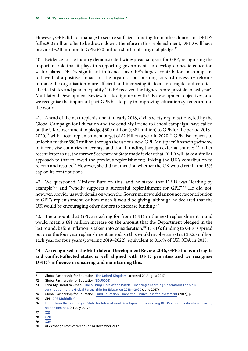However, GPE did not manage to secure sufficient funding from other donors for DFID's full £300 million offer to be drawn down. Therefore in this replenishment, DFID will have provided £210 million to GPE; £90 million short of its original pledge.<sup>71</sup>

40. Evidence to the inquiry demonstrated widespread support for GPE, recognising the important role that it plays in supporting governments to develop domestic education sector plans. DFID's significant influence—as GPE's largest contributor—also appears to have had a positive impact on the organisation, pushing forward necessary reforms to make the organisation more efficient and increasing its focus on fragile and conflictaffected states and gender equality.<sup>72</sup> GPE received the highest score possible in last year's Multilateral Development Review for its alignment with UK development objectives, and we recognise the important part GPE has to play in improving education systems around the world.

41. Ahead of the next replenishment in early 2018, civil society organisations, led by the Global Campaign for Education and the Send My Friend to School campaign, have called on the UK Government to pledge \$500 million (£381 million) to GPE for the period 2018– 2020,<sup>73</sup> with a total replenishment target of \$2 billion a year in 2020.<sup>74</sup> GPE also expects to unlock a further \$900 million through the use of a new 'GPE Multiplier' financing window to incentivise countries to leverage additional funding through external sources.<sup>75</sup> In her recent letter to us, the former Secretary of State made it clear that DFID will take a similar approach to that followed the previous replenishment; linking the UK's contribution to reform and results.76 However, she did not mention whether the UK would retain the 15% cap on its contributions.

42. We questioned Minister Burt on this, and he stated that DFID was "leading by example"77 and "wholly supports a successful replenishment for GPE".<sup>78</sup> He did not, however, provide us with details on when the Government would announce its contribution to GPE's replenishment, or how much it would be giving, although he declared that the UK would be encouraging other donors to increase funding.<sup>79</sup>

43. The amount that GPE are asking for from DFID in the next replenishment round would mean a £81 million increase on the amount that the Department pledged in the last round, before inflation is taken into consideration.<sup>80</sup> DFID's funding to GPE is spread out over the four year replenishment period, so this would involve an extra £20.25 million each year for four years (covering 2019–2022), equivalent to 0.16% of UK ODA in 2015.

## 44. **As recognised in the Multilateral Development Review 2016, GPE's focus on fragile and conflict-affected states is well aligned with DFID priorities and we recognise DFID's influence in ensuring and maintaining this.**

<sup>71</sup> Global Partnership for Education, [The United Kingdom](http://www.globalpartnership.org/about-us/donor/united-kingdom), accessed 24 August 2017

<sup>72</sup> Global Partnership for Education ([EDU0003](http://data.parliament.uk/writtenevidence/committeeevidence.svc/evidencedocument/international-development-committee/department-for-international-developments-work-on-education-leaving-no-one-behind/written/38010.html))

<sup>73</sup> Send My Friend to School, [The Missing Piece of the Puzzle: Financing a Learning Generation: The UK's](https://www.sendmyfriend.org/wp-content/uploads/2017/06/The-Missing-Piece-of-the-Puzzle_The-UK-contribution-to-GPE-replenishment.pdf)  [contribution to the Global Partnership for Education 2018—2020](https://www.sendmyfriend.org/wp-content/uploads/2017/06/The-Missing-Piece-of-the-Puzzle_The-UK-contribution-to-GPE-replenishment.pdf) (June 2017)

<sup>74</sup> Global Partnership for Education, [Fund Education, Shape the Future: Case for Investment](http://www.globalpartnership.org/sites/default/files/2017-05-gpe-case-for-investment-updated.pdf) (2017), p. 9

<sup>75</sup> GPE ['GPE Multiplier'](http://www.globalpartnership.org/funding/gpe-multiplier)

<sup>76</sup> [Letter from the Secretary of State for International Development, concerning DFID's work on education: Leaving](http://www.parliament.uk/documents/commons-committees/international-development/SoS-letter-regarding-DFIDs-work-on-education.pdf) [no one behind?,](http://www.parliament.uk/documents/commons-committees/international-development/SoS-letter-regarding-DFIDs-work-on-education.pdf) (31 July 2017)

 $77 \overline{0}$ 

<sup>78</sup> [Q20](http://data.parliament.uk/writtenevidence/committeeevidence.svc/evidencedocument/international-development-committee/dfids-work-on-education-leaving-no-one-behind/oral/71536.html)

<sup>79</sup> [Q20](http://data.parliament.uk/writtenevidence/committeeevidence.svc/evidencedocument/international-development-committee/dfids-work-on-education-leaving-no-one-behind/oral/71536.html)

<sup>80</sup> At exchange rates correct as of 14 November 2017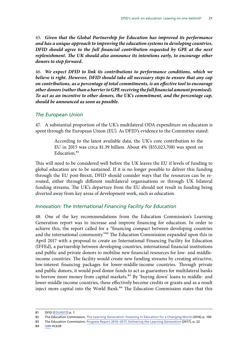45. *Given that the Global Partnership for Education has improved its performance and has a unique approach to improving the education systems in developing countries, DFID should agree to the full financial contribution requested by GPE at the next*  replenishment. The UK should also announce its intentions early, to encourage other *donors to step forward.*

46. *We expect DFID to link its contributions to performance conditions, which we believe is right. However, DFID should take all necessary steps to ensure that any cap on contributions, as a percentage of total commitments, is an effective tool to encourage other donors (rather than a barrier to GPE receiving the full financial amount promised). To act as an incentive to other donors, the UK's commitment, and the percentage cap, should be announced as soon as possible.*

### *The European Union*

47. A substantial proportion of the UK's multilateral ODA expenditure on education is spent through the European Union (EU). As DFID's evidence to the Committee stated:

> According to the latest available data, the UK's core contribution to the EU in 2015 was circa \$1.39 billion. About 4% (\$55,023,708) was spent on Education.<sup>81</sup>

This will need to be considered well before the UK leaves the EU if levels of funding to global education are to be sustained. If it is no longer possible to deliver this funding through the EU post-Brexit, DFID should consider ways that the resources can be rerouted, either through different multilateral organisations or through UK bilateral funding streams. The UK's departure from the EU should not result in funding being diverted away from key areas of development work, such as education.

## *Innovation: The International Financing Facility for Education*

48. One of the key recommendations from the Education Commission's Learning Generation report was to increase and improve financing for education. In order to achieve this, the report called for a "financing compact between developing countries and the international community.<sup>"82</sup> The Education Commission expanded upon this in April 2017 with a proposal to create an International Financing Facility for Education (IFFEd), a partnership between developing countries, international financial institutions and public and private donors to mobilise new financial resources for low- and middleincome countries. The facility would create new funding streams by creating attractive, low-interest financing packages for lower-middle-income countries. Through private and public donors, it would pool donor funds to act as guarantees for multilateral banks to borrow more money from capital markets.<sup>83</sup> By 'buying down' loans to middle- and lower-middle income countries, these effectively become credits or grants and as a result inject more capital into the World Bank.<sup>84</sup> The Education Commission states that this

84 [Q88](http://data.parliament.uk/writtenevidence/committeeevidence.svc/evidencedocument/international-development-committee/department-for-international-developments-work-on-education-leaving-no-one-behind/oral/46366.html) HC639

<sup>81</sup> DFID [\(EDU0072\)](http://data.parliament.uk/writtenevidence/committeeevidence.svc/evidencedocument/international-development-committee/dfids-work-on-education-leaving-no-one-behind/written/69078.html) p. 1

<sup>82</sup> The Education Commission, [The Learning Generation: Investing in Education for a Changing World](http://report.educationcommission.org/wp-content/uploads/2016/09/Learning_Generation_Full_Report.pdf) (2016) p. 100

<sup>83</sup> The Education Commission, [Progress Report 2016–2017, Delivering the Learning Generation](http://educationcommission.org/wp-content/uploads/2016/09/Commission-2017-Progress-Report.pdf) (2017), p. 22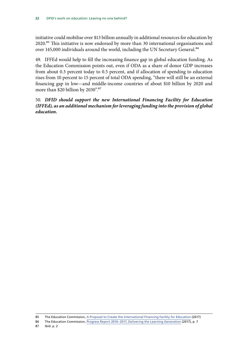initiative could mobilise over \$13 billion annually in additional resources for education by 2020.85 This initiative is now endorsed by more than 30 international organisations and over 145,000 individuals around the world, including the UN Secretary General.<sup>86</sup>

49. IFFEd would help to fill the increasing finance gap in global education funding. As the Education Commission points out, even if ODA as a share of donor GDP increases from about 0.3 percent today to 0.5 percent, and if allocation of spending to education rises from 10 percent to 15 percent of total ODA spending, "there will still be an external financing gap in low—and middle-income countries of about \$10 billion by 2020 and more than \$20 billion by 2030".<sup>87</sup>

50. *DFID should support the new International Financing Facility for Education (IFFEd), as an additional mechanism for leveraging funding into the provision of global education.*

85 The Education Commission, [A Proposal to Create the International Financing Facility for Education](http://educationcommission.org/wp-content/uploads/2017/03/IFFEd-Overview-4-17.pdf) (2017)

<sup>86</sup> The Education Commission, [Progress Report 2016–2017, Delivering the Learning Generation](http://educationcommission.org/wp-content/uploads/2016/09/Commission-2017-Progress-Report.pdf) (2017), p. 7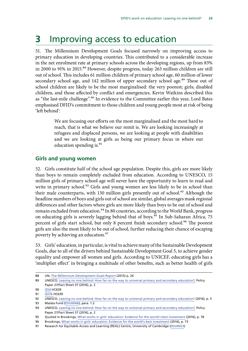## <span id="page-24-0"></span>**3** Improving access to education

51. The Millennium Development Goals focused narrowly on improving access to primary education in developing countries. This contributed to a considerable increase in the net enrolment rate at primary schools across the developing regions, up from 83% in 2000 to 91% in 2015.<sup>88</sup> However, despite progress, today 263 million children are still out of school. This includes 61 million children of primary school age, 60 million of lower secondary school age, and 142 million of upper secondary school age.<sup>89</sup> These out of school children are likely to be the most marginalised: the very poorest; girls; disabled children, and those affected by conflict and emergencies. Kevin Watkins described this as "the last-mile challenge".<sup>90</sup> In evidence to the Committee earlier this year, Lord Bates emphasised DFID's commitment to those children and young people most at risk of being 'left behind':

> We are focusing our efforts on the most marginalised and the most hard to reach, that is what we believe our remit is. We are looking increasingly at refugees and displaced persons, we are looking at people with disabilities and we are looking at girls as being our primary focus in where our education spending is.<sup>91</sup>

## **Girls and young women**

52. Girls constitute half of the school age population. Despite this, girls are more likely than boys to remain completely excluded from education. According to UNESCO, 15 million girls of primary school age will never have the opportunity to learn to read and write in primary school.<sup>92</sup> Girls and young women are less likely to be in school than their male counterparts, with 130 million girls presently out of school.<sup>93</sup> Although the headline numbers of boys and girls out of school are similar, global averages mask regional differences and other factors where girls are more likely than boys to be out of school and remain excluded from education.<sup>94</sup> In 80 countries, according to the World Bank, progress on educating girls is severely lagging behind that of boys.<sup>95</sup> In Sub-Saharan Africa, 75 percent of girls start school, but only 8 percent finish secondary school.<sup>96</sup> The poorest girls are also the most likely to be out of school, further reducing their chance of escaping poverty by achieving an education.<sup>97</sup>

53. Girls' education, in particular, is vital to achieve many of the Sustainable Development Goals, due to all of the drivers behind Sustainable Development Goal 5, to achieve gender equality and empower all women and girls. According to UNICEF, educating girls has a 'multiplier effect' in bringing a multitude of other benefits, such as better health of girls

93 Malala Fund [\(EDU0066](http://data.parliament.uk/writtenevidence/committeeevidence.svc/evidencedocument/international-development-committee/department-for-international-developments-work-on-education-leaving-no-one-behind/written/46890.pdf)), para. 1.2

<sup>88</sup> UN, [The Millennium Development Goals Report](http://www.un.org/millenniumgoals/2015_MDG_Report/pdf/MDG%202015%20rev%20(July%201).pdf) (2015) p. 24

<sup>89</sup> UNESCO, [Leaving no one behind: How far on the way to universal primary and secondary education?,](http://unesdoc.unesco.org/images/0024/002452/245238E.pdf) Policy Paper 27/Fact Sheet 37 (2016), p. 2

<sup>90</sup> [Q54](http://data.parliament.uk/writtenevidence/committeeevidence.svc/evidencedocument/international-development-committee/dfids-work-on-education-leaving-no-one-behind/oral/45291.html) HC639

<sup>91</sup> [Q226](http://data.parliament.uk/writtenevidence/committeeevidence.svc/evidencedocument/international-development-committee/dfids-work-on-education-leaving-no-one-behind/oral/49579.html) HC639

<sup>92</sup> UNESCO, [Leaving no one behind: How far on the way to universal primary and secondary education?](http://uis.unesco.org/sites/default/files/documents/fs37-leaving-no-one-behind-how-far-on-the-way-to-universal-primary-and-secondary-education-2016-en.pdf) (2016), p. 5

<sup>94</sup> UNESCO, [Leaving no one behind: How far on the way to universal primary and secondary education?,](http://unesdoc.unesco.org/images/0024/002452/245238E.pdf) Policy Paper 27/Fact Sheet 37 (2016), p. 2

<sup>95</sup> Quoted in Brookings, [What works in girls' education: Evidence for the world's best investment](https://www.brookings.edu/wp-content/uploads/2016/07/whatworksingirlseducation1.pdf) (2016), p. 78

<sup>96</sup> Brookings, [What works in girls' education: Evidence for the world's best investment](https://www.brookings.edu/wp-content/uploads/2016/07/whatworksingirlseducation1.pdf) (2016), p. 73

<sup>97</sup> Research for Equitable Access and Learning (REAL) Centre, University of Cambridge ([EDU0023](http://data.parliament.uk/writtenevidence/committeeevidence.svc/evidencedocument/international-development-committee/department-for-international-developments-work-on-education-leaving-no-one-behind/written/38349.html))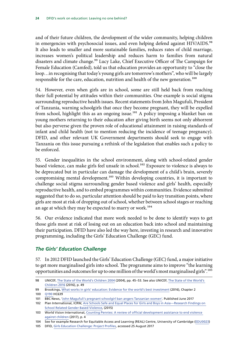<span id="page-25-0"></span>and of their future children, the development of the wider community, helping children in emergencies with psychosocial issues, and even helping defend against HIV/AIDS.<sup>98</sup> It also leads to smaller and more sustainable families, reduces rates of child marriage, increases women's political leadership and reduces harm to families from natural disasters and climate change.<sup>99</sup> Lucy Lake, Chief Executive Officer of The Campaign for Female Education (Camfed), told us that education provides an opportunity to "close the loop…in recognising that today's young girls are tomorrow's mothers", who will be largely responsible for the care, education, nutrition and health of the new generation.<sup>100</sup>

54. However, even when girls are in school, some are still held back from reaching their full potential by attitudes within their communities. One example is social stigma surrounding reproductive health issues. Recent statements from John Magufuli, President of Tanzania, warning schoolgirls that once they become pregnant, they will be expelled from school, highlight this as an ongoing issue.<sup>101</sup> A policy imposing a blanket ban on young mothers returning to their education after giving birth seems not only abhorrent but also perverse given the proven role of educational attainment in raising standards of infant and child health (not to mention reducing the incidence of teenage pregnancy). DFID, and other relevant UK Government departments should seek to engage with Tanzania on this issue pursuing a rethink of the legislation that enables such a policy to be enforced.

55. Gender inequalities in the school environment, along with school-related gender based violence, can make girls feel unsafe in school.<sup>102</sup> Exposure to violence is always to be deprecated but in particular can damage the development of a child's brain, severely compromising mental development.103 Within developing countries, it is important to challenge social stigma surrounding gender based violence and girls' health, especially reproductive health, and to embed programmes within communities. Evidence submitted suggested that to do so, particular attention should be paid to key transition points, where girls are most at risk of dropping out of school, whether between school stages or reaching an age at which they may be expected to marry or work.<sup>104</sup>

56. Our evidence indicated that more work needed to be done to identify ways to get those girls most at risk of losing out on an education back into school and maintaining their participation. DFID have also led the way here, investing in research and innovative programming, including the Girls' Education Challenge (GEC) fund.

## *The Girls' Education Challenge*

57. In 2012 DFID launched the Girls' Education Challenge (GEC) fund, a major initiative to get more marginalised girls into school. The programme aims to improve "the learning opportunities and outcomes for up to one million of the world's most marginalised girls".<sup>105</sup>

<sup>98</sup> UNICEF, [The State of the World's Children 2004](https://www.unicef.org/sowc04/files/SOWC_O4_eng.pdf) (2004), pp. 45–53. See also UNICEF, [The State of the World's](https://www.unicef.org/publications/files/UNICEF_SOWC_2016.pdf)  [Children 2016](https://www.unicef.org/publications/files/UNICEF_SOWC_2016.pdf) (2016), p. 49

<sup>99</sup> Brookings, [What works in girls' education: Evidence for the world's best investment](https://www.brookings.edu/wp-content/uploads/2016/07/whatworksingirlseducation1.pdf) (2016), Chapter 2 100 [Q190](http://data.parliament.uk/writtenevidence/committeeevidence.svc/evidencedocument/international-development-committee/department-for-international-developments-work-on-education-leaving-no-one-behind/oral/47513.html) HC639

<sup>101</sup> BBC News, ['John Magufuli's pregnant schoolgirl ban angers Tanzanian women'](http://www.bbc.co.uk/news/world-africa-40379113). Published June 2017

<sup>102</sup> Plan International, ICRW, [Are Schools Safe and Equal Places for Girls and Boys in Asia—Research Findings on](file:///C:\Users\BARKERJ\Downloads\2015_are_schools_safe_and_equal_places_for_girls_and_boys_in_asia_en.pdf)  [School Related Gender Based Violence](file:///C:\Users\BARKERJ\Downloads\2015_are_schools_safe_and_equal_places_for_girls_and_boys_in_asia_en.pdf), (2015)

<sup>103</sup> World Vision International, [Counting Pennies: A review of official development assistance to end violence](http://www.wvi.org/sites/default/files/Counting_Pennies_WEB_FINAL.pdf)  [against children](http://www.wvi.org/sites/default/files/Counting_Pennies_WEB_FINAL.pdf) (2017), p. 4

<sup>104</sup> See for example Research for Equitable Access and Learning (REAL) Centre, University of Cambridge [\(EDU0023\)](http://data.parliament.uk/writtenevidence/committeeevidence.svc/evidencedocument/international-development-committee/department-for-international-developments-work-on-education-leaving-no-one-behind/written/38349.html)

<sup>105</sup> DFID, [Girls Education Challenge: Project Profiles](https://www.gov.uk/government/uploads/system/uploads/attachment_data/file/415489/GEC-Project-Profile-booklet-March2015.pdf), accessed 25 August 2017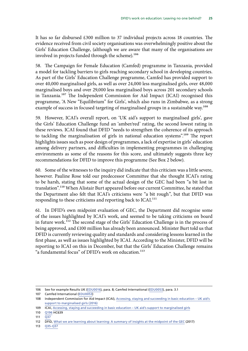It has so far disbursed £300 million to 37 individual projects across 18 countries. The evidence received from civil society organisations was overwhelmingly positive about the Girls' Education Challenge, (although we are aware that many of the organisations are involved in projects funded through the scheme).<sup>106</sup>

58. The Campaign for Female Education (Camfed) programme in Tanzania, provided a model for tackling barriers to girls reaching secondary school in developing countries. As part of the Girls' Education Challenge programme, Camfed has provided support to over 40,000 marginalised girls, as well as over 24,000 less marginalised girls, over 48,000 marginalised boys and over 29,000 less marginalised boys across 201 secondary schools in Tanzania.<sup>107</sup> The Independent Commission for Aid Impact (ICAI) recognised this programme, 'A New "Equilibrium" for Girls', which also runs in Zimbabwe, as a strong example of success in focused targeting of marginalised groups in a sustainable way.<sup>108</sup>

59. However, ICAI's overall report, on 'UK aid's support to marginalised girls', gave the Girls' Education Challenge fund an 'amber/red' rating, the second lowest rating in these reviews. ICAI found that DFID "needs to strengthen the coherence of its approach to tackling the marginalisation of girls in national education systems".<sup>109</sup> The report highlights issues such as poor design of programmes, a lack of expertise in girls' education among delivery partners, and difficulties in implementing programmes in challenging environments as some of the reasons for this score, and ultimately suggests three key recommendations for DFID to improve this programme (See Box 2 below).

60. Some of the witnesses to the inquiry did indicate that this criticism was a little severe, however. Pauline Rose told our predecessor Committee that she thought ICAI's rating to be harsh, stating that some of the actual design of the GEC had been "a bit lost in translation".110 When Alistair Burt appeared before our current Committee, he stated that the Department also felt that ICAI's criticisms were "a bit rough", but that DFID was responding to these criticisms and reporting back to ICAI.<sup>111</sup>

61. In DFID's own midpoint evaluation of GEC, the Department did recognise some of the issues highlighted by ICAI's work, and seemed to be taking criticisms on board in future work.112 The second stage of the Girls' Education Challenge is in the process of being approved, and £100 million has already been announced. Minister Burt told us that DFID is currently reviewing quality and standards and considering lessons learned in the first phase, as well as issues highlighted by ICAI. According to the Minister, DFID will be reporting to ICAI on this in December, but that the Girls' Education Challenge remains "a fundamental focus" of DFID's work on education.<sup>113</sup>

113 [Q35-Q37](http://data.parliament.uk/writtenevidence/committeeevidence.svc/evidencedocument/international-development-committee/dfids-work-on-education-leaving-no-one-behind/oral/71536.html)

<sup>106</sup> See for example Results UK [\(EDU0016\)](http://data.parliament.uk/writtenevidence/committeeevidence.svc/evidencedocument/international-development-committee/department-for-international-developments-work-on-education-leaving-no-one-behind/written/38322.html), para. 8; Camfed International ([EDU0053](http://data.parliament.uk/writtenevidence/committeeevidence.svc/evidencedocument/international-development-committee/department-for-international-developments-work-on-education-leaving-no-one-behind/written/40131.html)), para. 3.1

<sup>107</sup> Camfed International [\(EDU0053\)](http://data.parliament.uk/writtenevidence/committeeevidence.svc/evidencedocument/international-development-committee/department-for-international-developments-work-on-education-leaving-no-one-behind/written/40131.html)

<sup>108</sup> Independent Commission for Aid Impact (ICAI), [Accessing, staying and succeeding in basic education – UK aid's](http://icai.independent.gov.uk/html-report/accessing-staying-succeeding-basic-education-uk-aids-support-marginalised-girls/)  [support to marginalised girls](http://icai.independent.gov.uk/html-report/accessing-staying-succeeding-basic-education-uk-aids-support-marginalised-girls/) (2016)

<sup>109</sup> ICAI, Accessing, staying and succeeding in basic education - UK aid's support to marginalised girls

<sup>110</sup> [Q196](http://data.parliament.uk/writtenevidence/committeeevidence.svc/evidencedocument/international-development-committee/department-for-international-developments-work-on-education-leaving-no-one-behind/oral/47513.html) HC639

<sup>111</sup> O<sub>37</sub>

<sup>112</sup> DFID, [What we are learning about learning: A summary of insights at the midpoint of the GEC](https://www.gov.uk/government/uploads/system/uploads/attachment_data/file/548688/GEC-learning-about-learning.pdf) (2017)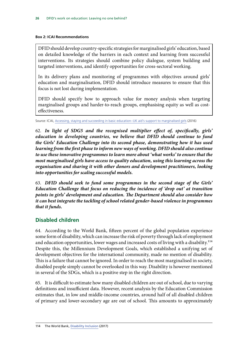#### <span id="page-27-0"></span>**Box 2: ICAI Recommendations**

DFID should develop country-specific strategies for marginalised girls' education, based on detailed knowledge of the barriers in each context and learning from successful interventions. Its strategies should combine policy dialogue, system building and targeted interventions, and identify opportunities for cross-sectoral working.

In its delivery plans and monitoring of programmes with objectives around girls' education and marginalisation, DFID should introduce measures to ensure that this focus is not lost during implementation.

DFID should specify how to approach value for money analysis when targeting marginalised groups and harder-to-reach groups, emphasising equity as well as costeffectiveness.

Source: ICAI, [Accessing, staying and succeeding in basic education–UK aid's support to marginalised girls](http://icai.independent.gov.uk/html-report/accessing-staying-succeeding-basic-education-uk-aids-support-marginalised-girls/) (2016)

62. *In light of SDG5 and the recognised multiplier effect of, specifically, girls' education in developing countries, we believe that DFID should continue to fund the Girls' Education Challenge into its second phase, demonstrating how it has used learning from the first phase to inform new ways of working. DFID should also continue to use these innovative programmes to learn more about 'what works' to ensure that the most marginalised girls have access to quality education, using this learning across the organisation and sharing it with other donors and development practitioners, looking into opportunities for scaling successful models.*

63. *DFID should seek to fund some programmes in the second stage of the Girls' Education Challenge that focus on reducing the incidence of 'drop out' at transition points in girls' development and education. The Department should also consider how it can best integrate the tackling of school related gender-based violence in programmes that it funds.*

## **Disabled children**

64. According to the World Bank, fifteen percent of the global population experience some form of disability, which can increase the risk of poverty through lack of employment and education opportunities, lower wages and increased costs of living with a disability.<sup>114</sup> Despite this, the Millennium Development Goals, which established a unifying set of development objectives for the international community, made no mention of disability. This is a failure that cannot be ignored. In order to reach the most marginalised in society, disabled people simply cannot be overlooked in this way. Disability is however mentioned in several of the SDGs, which is a positive step in the right direction.

65. It is difficult to estimate how many disabled children are out of school, due to varying definitions and insufficient data. However, recent analysis by the Education Commission estimates that, in low and middle-income countries, around half of all disabled children of primary and lower-secondary age are out of school. This amounts to approximately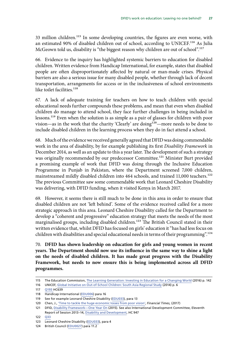33 million children.<sup>115</sup> In some developing countries, the figures are even worse, with an estimated 90% of disabled children out of school, according to UNICEF.116 As Julia McGeown told us, disability is "the biggest reason why children are out of school".<sup>117</sup>

66. Evidence to the inquiry has highlighted systemic barriers to education for disabled children. Written evidence from Handicap International, for example, states that disabled people are often disproportionately affected by natural or man-made crises. Physical barriers are also a serious issue for many disabled people, whether through lack of decent transportation, arrangements for access or in the inclusiveness of school environments like toilet facilities.<sup>118</sup>

67. A lack of adequate training for teachers on how to teach children with special educational needs further compounds these problems, and mean that even when disabled children do manage to attend school, they face further challenges in being included in lessons.119 Even when the solution is as simple as a pair of glasses for children with poor vision—as in the work that the charity 'Clearly' are doing<sup>120</sup>—more needs to be done to include disabled children in the learning process when they do in fact attend a school.

68. Much of the evidence we received generally agreed that DFID was doing commendable work in the area of disability, by for example publishing its first *Disability Framework* in December 2014, as well as an update to this a year later. The development of such a strategy was originally recommended by our predecessor Committee.<sup>121</sup> Minister Burt provided a promising example of work that DFID was doing through the Inclusive Education Programme in Punjab in Pakistan, where the Department screened 7,000 children, mainstreamed mildly disabled children into 464 schools, and trained 11,000 teachers.<sup>122</sup> The previous Committee saw some commendable work that Leonard Cheshire Disability was delivering, with DFID funding, when it visited Kenya in March 2017.

69. However, it seems there is still much to be done in this area in order to ensure that disabled children are not 'left behind'. Some of the evidence received called for a more strategic approach in this area. Leonard Cheshire Disability called for the Department to develop a "coherent and progressive" education strategy that meets the needs of the most marginalised groups, including disabled children.<sup>123</sup> The British Council stated in their written evidence that, whilst DFID has focused on girls' education it "has had less focus on children with disabilities and special educational needs in terms of their programming".<sup>124</sup>

70. **DFID has shown leadership on education for girls and young women in recent years. The Department should now use its influence in the same way to shine a light on the needs of disabled children. It has made great progress with the Disability Framework, but needs to now ensure this is being implemented across all DFID programmes.**

<sup>115</sup> The Education Commission, [The Learning Generation: Investing in Education for a Changing World](http://report.educationcommission.org/wp-content/uploads/2016/09/Learning_Generation_Full_Report.pdf) (2016) p. 142

<sup>116</sup> UNICEF, [Global Initiative on Out-of-School Children: South Asia Regional Study](https://www.unicef.org/education/files/SouthAsia_OOSCI_Study__Executive_Summary_26Jan_14Final.pdf) (2014) p. 6

<sup>117</sup> [Q193](http://data.parliament.uk/writtenevidence/committeeevidence.svc/evidencedocument/international-development-committee/department-for-international-developments-work-on-education-leaving-no-one-behind/oral/47513.html) HC639

<sup>118</sup> Handicap International [\(EDU006\)](http://data.parliament.uk/writtenevidence/committeeevidence.svc/evidencedocument/international-development-committee/department-for-international-developments-work-on-education-leaving-no-one-behind/written/38206.html) para 16

<sup>119</sup> See for example Leonard Cheshire Disability [\(EDU033](http://data.parliament.uk/writtenevidence/committeeevidence.svc/evidencedocument/international-development-committee/department-for-international-developments-work-on-education-leaving-no-one-behind/written/38395.html)), para 13

<sup>120</sup> Chen, J., ['Time to tackle the huge economic losses from poor vision',](https://www.ft.com/content/d329ab60-9ea0-37c4-87ee-dc92a4854526?mhq5j=e5) *Financial Times,* (2017)

<sup>121</sup> DFID, [Disability Framework—One Year On](https://www.gov.uk/government/uploads/system/uploads/attachment_data/file/554802/DFID-Disability-Framework-2015.pdf) (2015). See also International Development Committee, Eleventh Report of Session 2013–14, [Disability and Development](https://publications.parliament.uk/pa/cm201314/cmselect/cmintdev/947/947.pdf), HC 947

<sup>122</sup> [Q33](http://data.parliament.uk/writtenevidence/committeeevidence.svc/evidencedocument/international-development-committee/dfids-work-on-education-leaving-no-one-behind/oral/71536.html)

<sup>123</sup> Leonard Cheshire Disability ([EDU033\)](http://data.parliament.uk/writtenevidence/committeeevidence.svc/evidencedocument/international-development-committee/department-for-international-developments-work-on-education-leaving-no-one-behind/written/38395.html), para 4

<sup>124</sup> British Council [\(EDU0027](http://data.parliament.uk/writtenevidence/committeeevidence.svc/evidencedocument/international-development-committee/dfids-work-on-education-leaving-no-one-behind/written/38360.pdf)) para 11.2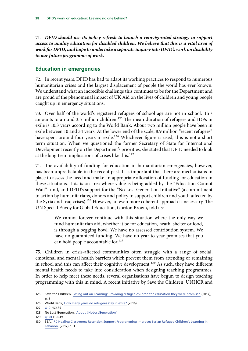<span id="page-29-0"></span>71. *DFID should use its policy refresh to launch a reinvigorated strategy to support access to quality education for disabled children. We believe that this is a vital area of work for DFID, and hope to undertake a separate inquiry into DFID's work on disability in our future programme of work.*

## **Education in emergencies**

72. In recent years, DFID has had to adapt its working practices to respond to numerous humanitarian crises and the largest displacement of people the world has ever known. We understand what an incredible challenge this continues to be for the Department and are proud of the phenomenal impact of UK Aid on the lives of children and young people caught up in emergency situations.

73. Over half of the world's registered refugees of school age are not in school. This amounts to around 3.5 million children.<sup>125</sup> The mean duration of refugees and IDPs in exile is 10.3 years according to the World Bank. About two million people have been in exile between 10 and 34 years. At the lower end of the scale, 8.9 million "recent refugees" have spent around four years in exile.<sup>126</sup> Whichever figure is used, this is not a short term situation. When we questioned the former Secretary of State for International Development recently on the Department's priorities, she stated that DFID needed to look at the long-term implications of crises like this.<sup>127</sup>

74. The availability of funding for education in humanitarian emergencies, however, has been unpredictable in the recent past. It is important that there are mechanisms in place to assess the need and make an appropriate allocation of funding for education in these situations. This is an area where value is being added by the "Education Cannot Wait" fund, and DFID's support for the "No Lost Generation Initiative" (a commitment to action by humanitarians, donors and policy to support children and youth affected by the Syria and Iraq crises).<sup>128</sup> However, an even more coherent approach is necessary. The UN Special Envoy for Global Education, Gordon Brown, told us:

> We cannot forever continue with this situation where the only way we fund humanitarian aid, whether it be for education, heath, shelter or food, is through a begging bowl. We have no assessed contribution system. We have no guaranteed funding. We have no year-to-year promises that you can hold people accountable for.<sup>129</sup>

75. Children in crisis-affected communities often struggle with a range of social, emotional and mental health barriers which prevent them from attending or remaining in school and this can affect their cognitive development.<sup>130</sup> As such, they have different mental health needs to take into consideration when designing teaching programmes. In order to help meet these needs, several organisations have begun to design teaching programming with this in mind. A recent initiative by Save the Children, UNHCR and

<sup>125</sup> Save the Children, [Losing out on Learning: Providing refugee children the education they were promised](https://resourcecentre.savethechildren.net/library/losing-out-learning-providing-refugee-children-education-they-were-promised) (2017), p. 6

<sup>126</sup> World Bank, [How many years do refugees stay in exile?](http://blogs.worldbank.org/dev4peace/how-many-years-do-refugees-stay-exile) (2016)

<sup>127</sup> [Q12](http://data.parliament.uk/writtenevidence/committeeevidence.svc/evidencedocument/international-development-committee/dfids-priorities/oral/72246.html) HC485

<sup>128</sup> No Lost Generation, ['About #NoLostGeneration'](http://nolostgeneration.org/about)

<sup>129</sup> [Q101](http://data.parliament.uk/writtenevidence/committeeevidence.svc/evidencedocument/international-development-committee/department-for-international-developments-work-on-education-leaving-no-one-behind/oral/46366.html) HC639

<sup>130</sup> 3EA, [IRC Healing Classrooms Retention Support Programming Improves Syrian Refugee Children's Learning In](http://steinhardt.nyu.edu/scmsAdmin/media/users/mhm327/3ea_docs/3EA_-_Impact_report.pdf)  [Lebanon](http://steinhardt.nyu.edu/scmsAdmin/media/users/mhm327/3ea_docs/3EA_-_Impact_report.pdf), (2017) p. 3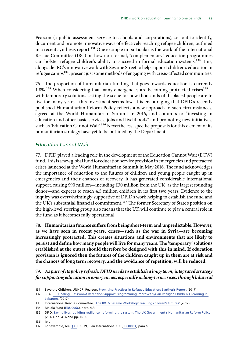Pearson (a public assessment service to schools and corporations), set out to identify, document and promote innovative ways of effectively reaching refugee children, outlined in a recent synthesis report.<sup>131</sup> One example in particular is the work of the International Rescue Committee (IRC) on how non-formal, "complementary" education programmes can bolster refugee children's ability to succeed in formal education systems.<sup>132</sup> This, alongside IRC's innovative work with Sesame Street to help support children's education in refugee camps<sup>133</sup>, present just some methods of engaging with crisis-affected communities.

76. The proportion of humanitarian funding that goes towards education is currently  $1.8\%$ <sup>134</sup> When considering that many emergencies are becoming protracted crises<sup>135</sup> with temporary solutions setting the scene for how thousands of displaced people are to live for many years—this investment seems low. It is encouraging that DFID's recently published Humanitarian Reform Policy reflects a new approach to such circumstances, agreed at the World Humanitarian Summit in 2016, and commits to "investing in education and other basic services, jobs and livelihoods" and promoting new initiatives, such as 'Education Cannot Wait'.<sup>136</sup> Nevertheless, specific proposals for this element of its humanitarian strategy have yet to be outlined by the Department.

### *Education Cannot Wait*

77. DFID played a leading role in the development of the Education Cannot Wait (ECW) fund. This is a new global fund for education service provision in emergencies and protracted crises launched at the World Humanitarian Summit in May 2016. The fund acknowledges the importance of education to the futures of children and young people caught up in emergencies and their chances of recovery. It has generated considerable international support, raising \$90 million—including £30 million from the UK, as the largest founding donor—and expects to reach 4.5 million children in its first two years. Evidence to the inquiry was overwhelmingly supportive of DFID's work helping to establish the fund and the UK's substantial financial commitment.<sup>137</sup> The former Secretary of State's position on the high-level steering group also means that the UK will continue to play a central role in the fund as it becomes fully operational.

78. **Humanitarian finance suffers from being short-term and unpredictable. However, as we have seen in recent years, crises—such as the war in Syria—are becoming increasingly protracted. This creates situations and environments that are likely to persist and define how many people will live for many years. The 'temporary' solutions established at the outset should therefore be designed with this in mind. If education provision is ignored then the futures of the children caught up in them are at risk and the chances of long term recovery, and the avoidance of repetition, will be reduced.**

79. *As part of its policy refresh, DFID needs to establish a long-term, integrated strategy for supporting education in emergencies, especially in long-term crises, through bilateral* 

<sup>131</sup> Save the Children, UNHCR, Pearson, [Promising Practices in Refugee Education: Synthesis Report](https://static1.squarespace.com/static/583af1fb414fb5b3977b6f89/t/59bd539d80bd5e7ca76704cd/1505579941493/Promising+Practices+in+Refugee+Education+Synthesis_Report_FINAL_WEB.pdf) (2017)

<sup>132</sup> 3EA, [IRC Healing Classrooms Retention Support Programming Improves Syrian Refugee Children's Learning In](http://steinhardt.nyu.edu/scmsAdmin/media/users/mhm327/3ea_docs/3EA_-_Impact_report.pdf)  [Lebanon](http://steinhardt.nyu.edu/scmsAdmin/media/users/mhm327/3ea_docs/3EA_-_Impact_report.pdf), (2017)

<sup>133</sup> International Rescue Committee, '[The IRC & Sesame Workshop: rescuing children's futures'](https://www.rescue.org/article/irc-sesame-workshop-rescuing-childrens-futures) (2017)

<sup>134</sup> Malala Fund [\(EDU0066](http://data.parliament.uk/writtenevidence/committeeevidence.svc/evidencedocument/international-development-committee/dfids-work-on-education-leaving-no-one-behind/written/46890.html)), para. 4.3

<sup>135</sup> DFID, [Saving lives, building resilience, reforming the system: The UK Government's Humanitarian Reform Policy](https://www.gov.uk/government/uploads/system/uploads/attachment_data/file/651530/UK-Humanitarian-Reform-Policy.pdf) (2017), pp. 4–6 and pp. 16–18

<sup>136</sup> Ibid.

<sup>137</sup> For example, see [Q33](http://data.parliament.uk/writtenevidence/committeeevidence.svc/evidencedocument/international-development-committee/dfids-work-on-education-leaving-no-one-behind/oral/42656.html) HC639, Plan International UK [\(EDU0004](http://data.parliament.uk/writtenevidence/committeeevidence.svc/evidencedocument/international-development-committee/dfids-work-on-education-leaving-no-one-behind/written/38166.html)) para 18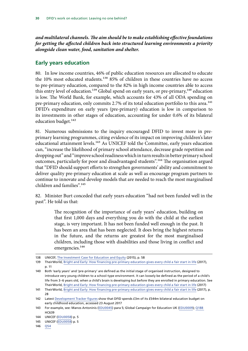<span id="page-31-0"></span>*and multilateral channels. The aim should be to make establishing effective foundations for getting the affected children back into structured learning environments a priority alongside clean water, food, sanitation and shelter.*

## **Early years education**

80. In low income countries, 46% of public education resources are allocated to educate the 10% most educated students.<sup>138</sup> 85% of children in these countries have no access to pre-primary education, compared to the 82% in high income countries able to access this entry level of education.<sup>139</sup> Global spend on early years, or pre-primary,<sup>140</sup> education is low. The World Bank, for example, which accounts for 43% of all ODA spending on pre-primary education, only commits 2.7% of its total education portfolio to this area.<sup>141</sup> DFID's expenditure on early years (pre-primary) education is low in comparison to its investments in other stages of education, accounting for under 0.6% of its bilateral education budget.<sup>142</sup>

81. Numerous submissions to the inquiry encouraged DFID to invest more in preprimary learning programmes, citing evidence of its impact on improving children's later educational attainment levels.<sup>143</sup> As UNICEF told the Committee, early years education can, "increase the likelihood of primary school attendance, decrease grade repetition and dropping out" and "improve school readiness which in turn results in better primary school outcomes, particularly for poor and disadvantaged students".<sup>144</sup> The organisation argued that "DFID should support efforts to strengthen governments' ability and commitment to deliver quality pre-primary education at scale as well as encourage program partners to continue to innovate and develop models that are needed to reach the most marginalised children and families".<sup>145</sup>

82. Minister Burt conceded that early years education "had not been funded well in the past". He told us that:

> The recognition of the importance of early years' education, building on that first 1,000 days and everything you do with the child at the earliest stage, is very important. It has not been funded well enough in the past. It has been an area that has been neglected. It does bring the highest returns in the future, and the returns are greatest for the most marginalised children, including those with disabilities and those living in conflict and emergencies.<sup>146</sup>

<sup>138</sup> UNICEF, [The Investment Case for Education and Equity](https://www.unicef.org/publications/files/Investment_Case_for_Education_and_Equity_FINAL.pdf) (2015), p. 58

<sup>139</sup> TheirWorld, [Bright and Early: How financing pre-primary education gives every child a fair start in life](https://s3.amazonaws.com/theirworld-site-resources/Reports/Theirworld-Report-Bright-and-Early-June-2017.pdf) (2017), p. 11

<sup>140</sup> Both 'early years' and 'pre-primary' are defined as the initial stage of organised instruction, designed to introduce very young children to a school-type environment. It can loosely be defined as the period of a child's life from 3–6 years old, when a child's brain is developing but before they are enrolled in primary education. See TheirWorld, [Bright and Early: How financing pre-primary education gives every child a fair start in life](https://s3.amazonaws.com/theirworld-site-resources/Reports/Theirworld-Report-Bright-and-Early-June-2017.pdf) (2017)

<sup>141</sup> TheirWorld, [Bright and Early: How financing pre-primary education gives every child a fair start in life](https://s3.amazonaws.com/theirworld-site-resources/Reports/Theirworld-Report-Bright-and-Early-June-2017.pdf) (2017), p. 28

<sup>142</sup> Latest [Development Tracker figures](https://devtracker.dfid.gov.uk/sector/1/categories/112) show that DFID spends £3m of its £544m bilateral education budget on early childhood education, accessed 23 August 2017

<sup>143</sup> For example, see: Manos Antoninis ([EDU0045](http://data.parliament.uk/writtenevidence/committeeevidence.svc/evidencedocument/international-development-committee/dfids-work-on-education-leaving-no-one-behind/written/38010.html)) para 5; Global Campaign for Education UK [\(EDU0009\)](http://data.parliament.uk/writtenevidence/committeeevidence.svc/evidencedocument/international-development-committee/dfids-work-on-education-leaving-no-one-behind/written/38227.html); [Q188](http://data.parliament.uk/writtenevidence/committeeevidence.svc/evidencedocument/international-development-committee/dfids-work-on-education-leaving-no-one-behind/oral/47513.html) HC639

<sup>144</sup> UNICEF [\(EDU0058](http://data.parliament.uk/writtenevidence/committeeevidence.svc/evidencedocument/international-development-committee/dfids-work-on-education-leaving-no-one-behind/written/41778.pdf)) p. 5

<sup>145</sup> UNICEF [\(EDU0058](http://data.parliament.uk/writtenevidence/committeeevidence.svc/evidencedocument/international-development-committee/dfids-work-on-education-leaving-no-one-behind/written/41778.pdf)) p. 5

<sup>146</sup> [Q54](http://data.parliament.uk/writtenevidence/committeeevidence.svc/evidencedocument/international-development-committee/dfids-work-on-education-leaving-no-one-behind/oral/71536.html)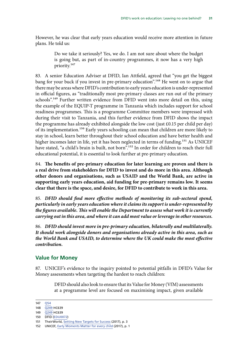<span id="page-32-0"></span>However, he was clear that early years education would receive more attention in future plans. He told us:

> Do we take it seriously? Yes, we do. I am not sure about where the budget is going but, as part of in-country programmes, it now has a very high priority.147

83. A senior Education Adviser at DFID, Ian Attfield, agreed that "you get the biggest bang for your buck if you invest in pre-primary education".<sup>148</sup> He went on to argue that there may be areas where DFID's contribution to early years education is under-represented in official figures, as "traditionally most pre-primary classes are run out of the primary schools".<sup>149</sup> Further written evidence from DFID went into more detail on this, using the example of the EQUIP-T programme in Tanzania which includes support for school readiness programmes. This is a programme Committee members were impressed with during their visit to Tanzania, and this further evidence from DFID shows the impact the programme has already exhibited alongside the low cost (just  $£0.15$  per child per day) of its implementation.<sup>150</sup> Early years schooling can mean that children are more likely to stay in school, learn better throughout their school education and have better health and higher incomes later in life, yet it has been neglected in terms of funding.<sup>151</sup> As UNICEF have stated, "a child's brain is built, not born".152 In order for children to reach their full educational potential, it is essential to look further at pre-primary education.

84. **The benefits of pre-primary education for later learning are proven and there is a real drive from stakeholders for DFID to invest and do more in this area. Although other donors and organisations, such as USAID and the World Bank, are active in supporting early years education, aid funding for pre-primary remains low. It seems clear that there is the space, and desire, for DFID to contribute to work in this area.**

85. *DFID should find more effective methods of monitoring its sub-sectoral spend, particularly in early years education where it claims its support is under-represented by the figures available. This will enable the Department to assess what work it is currently carrying out in this area, and where it can add most value or leverage in other resources.*

86. *DFID should invest more in pre-primary education, bilaterally and multilaterally. It should work alongside donors and organisations already active in this area, such as the World Bank and USAID, to determine where the UK could make the most effective contribution.*

## **Value for Money**

87. UNICEF's evidence to the inquiry pointed to potential pitfalls in DFID's Value for Money assessments when targeting the hardest to reach children:

> DFID should also look to ensure that its Value for Money (VfM) assessments at a programme level are focused on maximising impact, given available

<sup>147</sup> [Q54](http://data.parliament.uk/writtenevidence/committeeevidence.svc/evidencedocument/international-development-committee/dfids-work-on-education-leaving-no-one-behind/oral/71536.html)

<sup>148</sup> [Q249](http://data.parliament.uk/writtenevidence/committeeevidence.svc/evidencedocument/international-development-committee/dfids-work-on-education-leaving-no-one-behind/oral/49579.html) HC639

<sup>149</sup> [Q249](http://data.parliament.uk/writtenevidence/committeeevidence.svc/evidencedocument/international-development-committee/dfids-work-on-education-leaving-no-one-behind/oral/49579.html) HC639

<sup>150</sup> DFID [\(EDU0072\)](http://data.parliament.uk/writtenevidence/committeeevidence.svc/evidencedocument/international-development-committee/dfids-work-on-education-leaving-no-one-behind/written/69078.html)

<sup>151</sup> TheirWorld, [Setting New Targets for Success](http://s3.amazonaws.com/theirworld-site-resources/Reports/Theirworld-Setting-New-Targets-5for5-Web-2017_09_14.pdf) (2017), p. 3

<sup>152</sup> UNICEF, [Early Moments Matter for every child](https://www.unicef.org/publications/files/UNICEF_Early_Moments_Matter_for_Every_Child.pdf) (2017), p. 1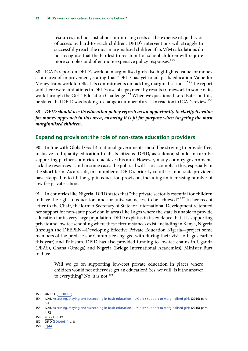<span id="page-33-0"></span>resources and not just about minimising costs at the expense of quality or of access by hard-to-reach children. DFID's interventions will struggle to successfully reach the most marginalised children if its VfM calculations do not recognise that the hardest to reach out-of-school children will require more complex and often more expensive policy responses.<sup>153</sup>

88. ICAI's report on DFID's work on marginalised girls also highlighted value for money as an area of improvement, stating that "DFID has yet to adapt its education Value for Money framework to reflect its commitments on tackling marginalisation".<sup>154</sup> The report said there were limitations in DFIDs use of a payment by results framework in some of its work through the Girls' Education Challenge.<sup>155</sup> When we questioned Lord Bates on this, he stated that DFID was looking to change a number of areas in reaction to ICAI's review.<sup>156</sup>

89. *DFID should use its education policy refresh as an opportunity to clarify its value for money approach in this area, ensuring it is fit for purpose when targeting the most marginalised children.*

## **Expanding provision: the role of non-state education providers**

90. In line with Global Goal 4, national governments should be striving to provide free, inclusive and quality education to all its citizens. DFID, as a donor, should in turn be supporting partner countries to achieve this aim. However, many country governments lack the resources—and in some cases the political will—to accomplish this, especially in the short-term. As a result, in a number of DFID's priority countries, non-state providers have stepped in to fill the gap in education provision, including an increasing number of low-fee private schools.

91. In countries like Nigeria, DFID states that "the private sector is essential for children to have the right to education, and for universal access to be achieved".<sup>157</sup> In her recent letter to the Chair, the former Secretary of State for International Development reiterated her support for non-state provision in areas like Lagos where the state is unable to provide education for its very large population. DFID explains in its evidence that it is supporting private and low-fee schooling where these circumstances exist, including in Kenya, Nigeria (through the DEEPEN—Developing Effective Private Education Nigeria—project some members of the predecessor Committee engaged with during their visit to Lagos earlier this year) and Pakistan. DFID has also provided funding to low-fee chains in Uganda (PEAS), Ghana (Omega) and Nigeria (Bridge International Academies). Minister Burt told us:

> Will we go on supporting low-cost private education in places where children would not otherwise get an education? Yes, we will. Is it the answer to everything? No, it is not.<sup>158</sup>

<sup>153</sup> UNICEF [\(EDU0058](http://data.parliament.uk/writtenevidence/committeeevidence.svc/evidencedocument/international-development-committee/department-for-international-developments-work-on-education-leaving-no-one-behind/written/41778.html))

<sup>154</sup> ICAI, [Accessing, staying and succeeding in basic education – UK aid's support to marginalised girls](http://icai.independent.gov.uk/wp-content/uploads/ICAI-review-Accessing-staying-and-succeeding-in-basic-education-UK-aids-support-to-marginalised-girls.pdf) (2016) para 5.4

<sup>155</sup> ICAI, [Accessing, staying and succeeding in basic education – UK aid's support to marginalised girls](http://icai.independent.gov.uk/wp-content/uploads/ICAI-review-Accessing-staying-and-succeeding-in-basic-education-UK-aids-support-to-marginalised-girls.pdf) (2016) para 4.72

<sup>156</sup> [Q177](http://data.parliament.uk/writtenevidence/committeeevidence.svc/evidencedocument/international-development-committee/department-for-international-developments-work-on-education-leaving-no-one-behind/oral/46531.html) HC639

<sup>157</sup> DFID [\(EDU0054](http://data.parliament.uk/writtenevidence/committeeevidence.svc/evidencedocument/international-development-committee/department-for-international-developments-work-on-education-leaving-no-one-behind/written/40132.html)) p. 8

<sup>158</sup> [Q44](http://data.parliament.uk/writtenevidence/committeeevidence.svc/evidencedocument/international-development-committee/dfids-work-on-education-leaving-no-one-behind/oral/71536.html)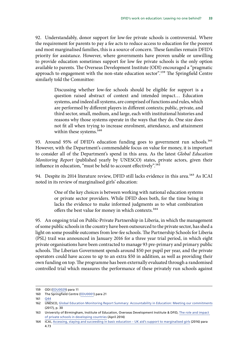92. Understandably, donor support for low-fee private schools is controversial. Where the requirement for parents to pay a fee acts to reduce access to education for the poorest and most marginalised families, this is a source of concern. These families remain DFID's priority for assistance. However, where governments have proven unable or unwilling to provide education sometimes support for low fee private schools is the only option available to parents. The Overseas Development Institute (ODI) encouraged a "pragmatic approach to engagement with the non-state education sector".<sup>159</sup> The Springfield Centre similarly told the Committee:

> Discussing whether low-fee schools should be eligible for support is a question raised abstract of context and intended impact… Education systems, and indeed all systems, are comprised of functions and rules, which are performed by different players in different contexts; public, private, and third sector, small, medium, and large, each with institutional histories and reasons why those systems operate in the ways that they do. One size does not fit all when trying to increase enrolment, attendance, and attainment within these systems.<sup>160</sup>

93. Around 95% of DFID's education funding goes to government run schools.<sup>161</sup> However, with the Department's commendable focus on value for money, it is important to consider all of the Department's spend in this area. As the latest *Global Education Monitoring Report* (published yearly by UNESCO) states, private actors, given their influence in education, "must be held to account effectively".<sup>162</sup>

94. Despite its 2014 literature review, DFID still lacks evidence in this area.<sup>163</sup> As ICAI noted in its review of marginalised girls' education:

> One of the key choices is between working with national education systems or private sector providers. While DFID does both, for the time being it lacks the evidence to make informed judgments as to what combination offers the best value for money in which contexts.164

95. An ongoing trial on Public-Private Partnership in Liberia, in which the management of some public schools in the country have been outsourced to the private sector, has shed a light on some possible outcomes from low-fee schools. The Partnership Schools for Liberia (PSL) trail was announced in January 2016 for a three year trial period, in which eight private organisations have been contracted to manage 93 pre-primary and primary public schools. The Liberian Government spends around \$50 per pupil per year, and the private operators could have access to up to an extra \$50 in addition, as well as providing their own funding on top. The programme has been externally evaluated through a randomised controlled trial which measures the performance of these privately run schools against

<sup>159</sup> ODI ([EDU0029\)](http://data.parliament.uk/writtenevidence/committeeevidence.svc/evidencedocument/international-development-committee/dfids-work-on-education-leaving-no-one-behind/written/38380.html) para 11

<sup>160</sup> The Springfield Centre ([EDU0001](http://data.parliament.uk/writtenevidence/committeeevidence.svc/evidencedocument/international-development-committee/dfids-work-on-education-leaving-no-one-behind/written/35986.html)) para 21

<sup>161</sup> [Q44](http://data.parliament.uk/writtenevidence/committeeevidence.svc/evidencedocument/international-development-committee/dfids-work-on-education-leaving-no-one-behind/oral/71536.html)

<sup>162</sup> UNESCO, [Global Education Monitoring Report Summary: Accountability in Education: Meeting our commitments](http://unesdoc.unesco.org/images/0025/002595/259593e.pdf) (2017), p. 30

<sup>163</sup> University of Birmingham, Institute of Education, Overseas Development Institute & DFID, [The role and impact](https://www.gov.uk/government/uploads/system/uploads/attachment_data/file/439702/private-schools-full-report.pdf)  [of private schools in developing countries](https://www.gov.uk/government/uploads/system/uploads/attachment_data/file/439702/private-schools-full-report.pdf) (April 2014)

<sup>164</sup> ICAI, [Accessing, staying and succeeding in basic education – UK aid's support to marginalised girls](http://icai.independent.gov.uk/wp-content/uploads/ICAI-review-Accessing-staying-and-succeeding-in-basic-education-UK-aids-support-to-marginalised-girls.pdf) (2016) para 4.73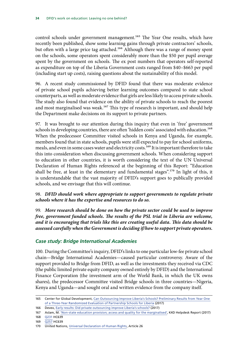<span id="page-35-0"></span>control schools under government management.<sup>165</sup> The Year One results, which have recently been published, show some learning gains through private contractors' schools, but often with a large price tag attached.<sup>166</sup> Although there was a range of money spent on the schools, some operators spent considerably more than the \$50 per pupil average spent by the government on schools. The ex post numbers that operators self-reported as expenditure on top of the Liberia Government costs ranged from \$40–\$663 per pupil (including start up costs), raising questions about the sustainability of this model.

96. A recent study commissioned by DFID found that there was moderate evidence of private school pupils achieving better learning outcomes compared to state school counterparts, as well as moderate evidence that girls are less likely to access private schools. The study also found that evidence on the ability of private schools to reach the poorest and most marginalised was weak.<sup>167</sup> This type of research is important, and should help the Department make decisions on its support to private partners.

97. It was brought to our attention during this inquiry that even in 'free' government schools in developing countries, there are often 'hidden costs' associated with education.<sup>168</sup> When the predecessor Committee visited schools in Kenya and Uganda, for example, members found that in state schools, pupils were still expected to pay for school uniforms, meals, and even in some cases water and electricity costs.<sup>169</sup> It is important therefore to take this into consideration when discussing government schools. When considering support to education in other countries, it is worth considering the text of the UN Universal Declaration of Human Rights referenced at the beginning of this Report: "Education shall be free, at least in the elementary and fundamental stages".<sup>170</sup> In light of this, it is understandable that the vast majority of DFID's support goes to publically provided schools, and we envisage that this will continue.

## 98. *DFID should work where appropriate to support governments to regulate private schools where it has the expertise and resources to do so.*

99. *More research should be done on how the private sector could be used to improve free, government funded schools. The results of the PSL trial in Liberia are welcome, and it is encouraging that trials like this are creating useful data. This data should be assessed carefully when the Government is deciding if/how to support private operators.*

## *Case study: Bridge International Academies*

100. During the Committee's inquiry, DFID's links to one particular low-fee private school chain—Bridge International Academies—caused particular controversy. Aware of the support provided to Bridge from DFID, as well as the investments they received via CDC (the public limited private equity company owned entirely by DFID) and the International Finance Corporation (the investment arm of the World Bank, in which the UK owns shares), the predecessor Committee visited Bridge schools in three countries—Nigeria, Kenya and Uganda—and sought oral and written evidence from the company itself.

<sup>165</sup> Center for Global Development, [Can Outsourcing Improve Liberia's Schools? Preliminary Results from Year One](https://www.cgdev.org/sites/default/files/partnership-schools-for-liberia.pdf)  [of a Three-Year Randomized Evaluation of Partnership Schools for Liberia](https://www.cgdev.org/sites/default/files/partnership-schools-for-liberia.pdf) (2017)

<sup>166</sup> Devex, [Early results: Did private outsourcing improve Liberia's schools?](https://www.devex.com/news/early-results-did-private-outsourcing-improve-liberia-s-schools-90943?mkt_tok=eyJpIjoiTm1OaU1EWXhNR1UwTmpSaCIsInQiOiJZY0J1bG1ad05reVNRaXp6bnViTzRSOFlvaEpuS2NNQXFqN2duazV2eUorWU5XZ0phVEVheEJlWGxob1wvbmJ5ZHNYYTdYQ3NzV0xEcFpWQWVqRTlcL3JLRUZPMmlpZVdcL282SHdxeWxZeDNsTGFxWnpYNmIzUStsVjVreGZ5SXFDQSJ9&utm_campaign=sections&utm_medium=newswire_headline&utm_source=newsletter) (2017)

<sup>167</sup> Aslam, M. ['Non-state education provision; access and quality for the marginalised'](https://opendocs.ids.ac.uk/opendocs/bitstream/handle/123456789/13202/178%20non-state%20provision.pdf?sequence=1&isAllowed=y), K4D Helpdesk Report (2017)

<sup>168</sup> [Q231](http://data.parliament.uk/writtenevidence/committeeevidence.svc/evidencedocument/international-development-committee/department-for-international-developments-work-on-education-leaving-no-one-behind/oral/47513.html) HC639

<sup>169</sup> [Q257](http://data.parliament.uk/writtenevidence/committeeevidence.svc/evidencedocument/international-development-committee/department-for-international-developments-work-on-education-leaving-no-one-behind/oral/49579.html) HC639

<sup>170</sup> United Nations, [Universal Declaration of Human Rights](http://www.un.org/en/universal-declaration-human-rights/), Article 26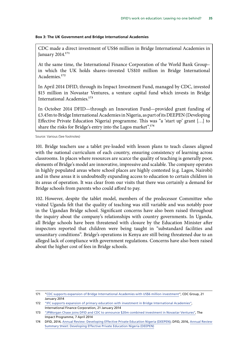#### **Box 3: The UK Government and Bridge International Academies**

CDC made a direct investment of US\$6 million in Bridge International Academies in January 2014.171

At the same time, the International Finance Corporation of the World Bank Group– in which the UK holds shares–invested US\$10 million in Bridge International Academies.172

In April 2014 DFID, through its Impact Investment Fund, managed by CDC, invested \$15 million in Novastar Ventures, a venture capital fund which invests in Bridge International Academies.173

In October 2014 DFID—through an Innovation Fund—provided grant funding of £3.45m to Bridge International Academies in Nigeria, as part of its DEEPEN (Developing Effective Private Education Nigeria) programme. This was "a 'start up' grant […] to share the risks for Bridge's entry into the Lagos market".174

Source: Various (See footnotes)

101. Bridge teachers use a tablet pre-loaded with lesson plans to teach classes aligned with the national curriculum of each country, ensuring consistency of learning across classrooms. In places where resources are scarce the quality of teaching is generally poor, elements of Bridge's model are innovative, impressive and scalable. The company operates in highly populated areas where school places are highly contested (e.g. Lagos, Nairobi) and in these areas it is undoubtedly expanding access to education to certain children in its areas of operation. It was clear from our visits that there was certainly a demand for Bridge schools from parents who could afford to pay.

102. However, despite the tablet model, members of the predecessor Committee who visited Uganda felt that the quality of teaching was still variable and was notably poor in the Ugandan Bridge school. Significant concerns have also been raised throughout the inquiry about the company's relationships with country governments. In Uganda, all Bridge schools have been threatened with closure by the Education Minister after inspectors reported that children were being taught in "substandard facilities and unsanitary conditions". Bridge's operations in Kenya are still being threatened due to an alleged lack of compliance with government regulations. Concerns have also been raised about the higher cost of fees in Bridge schools.

<sup>171</sup> "[CDC supports expansion of Bridge International Academies with US\\$6 million investment"](http://www.cdcgroup.com/Media/News/CDC-supports-expansion-of-Bridge-International-Academies-with-US6-million-investment/), CDC Group, 21 January 2014

<sup>172</sup> ["IFC supports expansion of primary education with investment in Bridge International Academies",](http://www.ifc.org/wps/wcm/connect/news_ext_content/ifc_external_corporate_site/news+and+events/news/bridgeschools_feature) International Finance Corporation, 21 January 2014

<sup>173</sup> ["JPMorgan Chase joins DFID and CDC to announce \\$20m combined investment in Novastar Ventures",](http://www.theimpactprogramme.org.uk/jpmorgan-chase-joins-dfid-and-cdc-to-announce-20m-combined-investment-in-novastar-ventures/) The Impact Programme, 7 April 2014

<sup>174</sup> DFID, 2014, [Annual Review: Developing Effective Private Education Nigeria \(DEEPEN\);](http://spire:8082/SPIREWEBDAV/Users/COXRCS/My%20Workspace/INTERNATIONAL%20DEVELOPMENT/INQUIRIES/2016-17/01%20-%20EDUCATION/BRIEFS/7%20session%20_date_!id=740702/iati.dfid.gov.uk/iati_documents/4618376.odt) DFID, 2016, [Annual Review](http://spire:8082/SPIREWEBDAV/Users/COXRCS/My%20Workspace/INTERNATIONAL%20DEVELOPMENT/INQUIRIES/2016-17/01%20-%20EDUCATION/BRIEFS/7%20session%20_date_!id=740702/iati.dfid.gov.uk/iati_documents/5553777.odt)  [Summary Sheet: Developing Effective Private Education Nigeria \(DEEPEN\)](http://spire:8082/SPIREWEBDAV/Users/COXRCS/My%20Workspace/INTERNATIONAL%20DEVELOPMENT/INQUIRIES/2016-17/01%20-%20EDUCATION/BRIEFS/7%20session%20_date_!id=740702/iati.dfid.gov.uk/iati_documents/5553777.odt)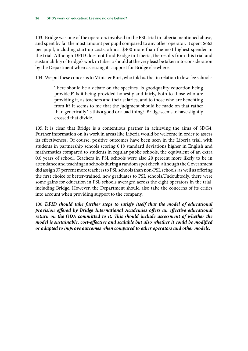103. Bridge was one of the operators involved in the PSL trial in Liberia mentioned above, and spent by far the most amount per pupil compared to any other operator. It spent \$663 per pupil, including start-up costs, almost \$400 more than the next highest spender in the trial. Although DFID does not fund Bridge in Liberia, the results from this trial and sustainability of Bridge's work in Liberia should at the very least be taken into consideration by the Department when assessing its support for Bridge elsewhere.

104. We put these concerns to Minister Burt, who told us that in relation to low-fee schools:

There should be a debate on the specifics. Is goodquality education being provided? Is it being provided honestly and fairly, both to those who are providing it, as teachers and their salaries, and to those who are benefiting from it? It seems to me that the judgment should be made on that rather than generically 'is this a good or a bad thing?' Bridge seems to have slightly crossed that divide.

105. It is clear that Bridge is a contentious partner in achieving the aims of SDG4. Further information on its work in areas like Liberia would be welcome in order to assess its effectiveness. Of course, positive outcomes have been seen in the Liberia trial, with students in partnership schools scoring 0.18 standard deviations higher in English and mathematics compared to students in regular public schools, the equivalent of an extra 0.6 years of school. Teachers in PSL schools were also 20 percent more likely to be in attendance and teaching in schools during a random spot check, although the Government did assign 37 percent more teachers to PSL schools than non-PSL schools, as well as offering the first choice of better-trained, new graduates to PSL schools.Undoubtedly, there were some gains for education in PSL schools averaged across the eight operators in the trial, including Bridge. However, the Department should also take the concerns of its critics into account when providing support to the company.

106. *DFID should take further steps to satisfy itself that the model of educational provision offered by Bridge International Academies offers an effective educational*  return on the ODA committed to it. This should include assessment of whether the *model is sustainable, cost-effective and scalable but also whether it could be modified or adapted to improve outcomes when compared to other operators and other models.*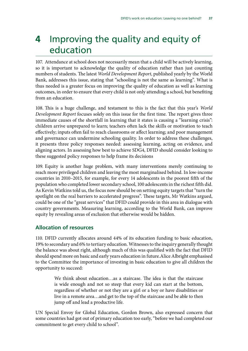## <span id="page-38-0"></span>**4** Improving the quality and equity of education

107. Attendance at school does not necessarily mean that a child will be actively learning, so it is important to acknowledge the quality of education rather than just counting numbers of students. The latest *World Development Report*, published yearly by the World Bank, addresses this issue, stating that "schooling is not the same as learning". What is thus needed is a greater focus on improving the quality of education as well as learning outcomes, in order to ensure that every child is not only attending a school, but benefiting from an education.

108. This is a huge challenge, and testament to this is the fact that this year's *World Development Report* focuses solely on this issue for the first time. The report gives three immediate causes of the shortfall in learning that it states is causing a "learning crisis": children arrive unprepared to learn; teachers often lack the skills or motivation to teach effectively; inputs often fail to reach classrooms or affect learning; and poor management and governance can undermine schooling quality. In order to address these challenges, it presents three policy responses needed: assessing learning, acting on evidence, and aligning actors. In assessing how best to achieve SDG4, DFID should consider looking to these suggested policy responses to help frame its decisions

109. Equity is another huge problem, with many interventions merely continuing to reach more privileged children and leaving the most marginalised behind. In low-income countries in 2010–2015, for example, for every 14 adolescents in the poorest fifth of the population who completed lower secondary school, 100 adolescents in the richest fifth did. As Kevin Watkins told us, the focus now should be on setting equity targets that "turn the spotlight on the real barriers to accelerated progress". These targets, Mr Watkins argued, could be one of the "great services" that DFID could provide in this area in dialogue with country governments. Measuring learning, according to the World Bank, can improve equity by revealing areas of exclusion that otherwise would be hidden.

## **Allocation of resources**

110. DFID currently allocates around 44% of its education funding to basic education, 19% to secondary and 6% to tertiary education. Witnesses to the inquiry generally thought the balance was about right, although much of this was qualified with the fact that DFID should spend more on basic and early years education in future.Alice Albright emphasised to the Committee the importance of investing in basic education to give all children the opportunity to succeed:

> We think about education…as a staircase. The idea is that the staircase is wide enough and not so steep that every kid can start at the bottom, regardless of whether or not they are a girl or a boy or have disabilities or live in a remote area…and get to the top of the staircase and be able to then jump off and lead a productive life.

UN Special Envoy for Global Education, Gordon Brown, also expressed concern that some countries had got out of primary education too early, "before we had completed our commitment to get every child to school".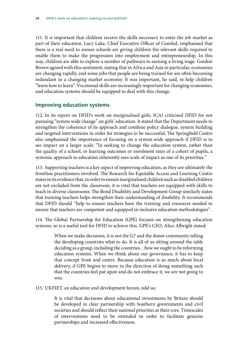<span id="page-39-0"></span>111. It is important that children receive the skills necessary to enter the job market as part of their education. Lucy Lake, Chief Executive Officer of Camfed, emphasised that there is a real need to ensure schools are giving children the relevant skills required to enable them to make the progression into employment and entrepreneurship. In this way, children are able to explore a number of pathways to earning a living wage. Gordon Brown agreed with this sentiment, stating that in Africa and Asia in particular, economies are changing rapidly, and some jobs that people are being trained for are often becoming redundant in a changing market economy. It was important, he said, to help children "learn how to learn". Vocational skills are increasingly important for changing economies, and education systems should be equipped to deal with this change.

## **Improving education systems**

112. In its report on DFID's work on marginalised girls, ICAI criticised DFID for not pursuing "system wide change" on girls' education. It stated that the Department needs to strengthen the coherence of its approach and combine policy dialogue, system building and targeted interventions in order for strategies to be successful. The Springfield Centre also emphasised the importance of focusing on a system-wide approach if DFID is to see impact on a larger scale: "In seeking to change the education system, rather than the quality of a school, or learning outcomes or enrolment rates of a cohort of pupils, a systemic approach to education inherently sees scale of impact as one of its priorities."

113. Supporting teachers is a key aspect of improving education, as they are ultimately the frontline practitioners involved. The Research for Equitable Access and Learning Centre states in its evidence that, in order to ensure marginalised children such as disabled children are not excluded from the classroom, it is vital that teachers are equipped with skills to teach in diverse classrooms. The Bond Disability and Development Group similarly states that training teachers helps strengthen their understanding of disability. It recommends that DFID should "help to ensure teachers have the training and resources needed to ensure that teachers are competent and equipped in inclusive education methodologies".

114. The Global Partnership for Education (GPE) focuses on strengthening education systems, so is a useful tool for DFID to achieve this. GPE's CEO, Alice Albright stated:

> When we make decisions, it is not the G7 and the donor community telling the developing countries what to do. It is all of us sitting around the table deciding as a group, including the countries…how we ought to be reforming education systems. When we think about our governance, it has to keep that concept front and centre. Because education is so much about local delivery, if GPE begins to move in the direction of doing something such that the countries feel put upon and do not embrace it, we are not going to win.

115. UKFIET, an education and development forum, told us:

It is vital that decisions about educational investments by Britain should be developed in clear partnership with Southern governments and civil societies and should reflect their national priorities at their core. Timescales of interventions need to be extended in order to facilitate genuine partnerships and increased effectiveness.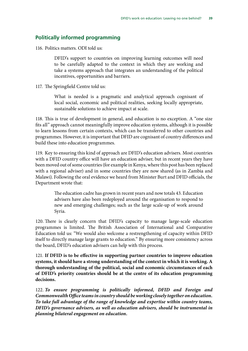## <span id="page-40-0"></span>**Politically informed programming**

116. Politics matters. ODI told us:

DFID's support to countries on improving learning outcomes will need to be carefully adapted to the context in which they are working and take a systems approach that integrates an understanding of the political incentives, opportunities and barriers.

117. The Springfield Centre told us:

What is needed is a pragmatic and analytical approach cognisant of local social, economic and political realities, seeking locally appropriate, sustainable solutions to achieve impact at scale.

118. This is true of development in general, and education is no exception. A "one size fits all" approach cannot meaningfully improve education systems, although it is possible to learn lessons from certain contexts, which can be transferred to other countries and programmes. However, it is important that DFID are cognisant of country differences and build these into education programmes.

119. Key to ensuring this kind of approach are DFID's education advisers. Most countries with a DFID country office will have an education adviser, but in recent years they have been moved out of some countries (for example in Kenya, where this post has been replaced with a regional adviser) and in some countries they are now shared (as in Zambia and Malawi). Following the oral evidence we heard from Minister Burt and DFID officials, the Department wrote that:

> The education cadre has grown in recent years and now totals 43. Education advisers have also been redeployed around the organisation to respond to new and emerging challenges; such as the large scale-up of work around Syria.

120. There is clearly concern that DFID's capacity to manage large-scale education programmes is limited. The British Association of International and Comparative Education told us: "We would also welcome a restrengthening of capacity within DFID itself to directly manage large grants to education." By ensuring more consistency across the board, DFID's education advisers can help with this process.

121. **If DFID is to be effective in supporting partner countries to improve education systems, it should have a strong understanding of the context in which it is working. A thorough understanding of the political, social and economic circumstances of each of DFID's priority countries should be at the centre of its education programming decisions.**

122. *To ensure programming is politically informed, DFID and Foreign and Commonwealth Office teams in country should be working closely together on education. To take full advantage of the range of knowledge and expertise within country teams, DFID's governance advisers, as well as education advisers, should be instrumental in planning bilateral engagement on education.*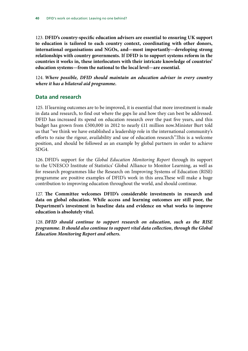<span id="page-41-0"></span>123. **DFID's country-specific education advisers are essential to ensuring UK support to education is tailored to each country context, coordinating with other donors, international organisations and NGOs, and—most importantly—developing strong relationships with country governments. If DFID is to support systems reform in the countries it works in, these interlocutors with their intricate knowledge of countries' education systems—from the national to the local level—are essential.**

124. *Where possible, DFID should maintain an education adviser in every country where it has a bilateral aid programme.*

## **Data and research**

125. If learning outcomes are to be improved, it is essential that more investment is made in data and research, to find out where the gaps lie and how they can best be addressed. DFID has increased its spend on education research over the past five years, and this budget has grown from £500,000 in 2012 to nearly £11 million now.Minister Burt told us that "we think we have established a leadership role in the international community's efforts to raise the rigour, availability and use of education research".This is a welcome position, and should be followed as an example by global partners in order to achieve SDG4.

126. DFID's support for the *Global Education Monitoring Report* through its support to the UNESCO Institute of Statistics' Global Alliance to Monitor Learning, as well as for research programmes like the Research on Improving Systems of Education (RISE) programme are positive examples of DFID's work in this area.These will make a huge contribution to improving education throughout the world, and should continue.

127. **The Committee welcomes DFID's considerable investments in research and data on global education. While access and learning outcomes are still poor, the Department's investment in baseline data and evidence on what works to improve education is absolutely vital.**

128. *DFID should continue to support research on education, such as the RISE programme. It should also continue to support vital data collection, through the Global Education Monitoring Report and others.*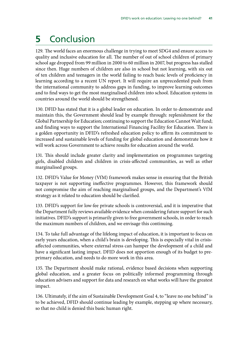## <span id="page-42-0"></span>**5** Conclusion

129. The world faces an enormous challenge in trying to meet SDG4 and ensure access to quality and inclusive education for all. The number of out of school children of primary school age dropped from 99 million in 2000 to 60 million in 2007, but progress has stalled since then. Huge numbers of children are also in school but not learning, with six out of ten children and teenagers in the world failing to reach basic levels of proficiency in learning according to a recent UN report. It will require an unprecedented push from the international community to address gaps in funding, to improve learning outcomes and to find ways to get the most marginalised children into school. Education systems in countries around the world should be strengthened.

130. DFID has stated that it is a global leader on education. In order to demonstrate and maintain this, the Government should lead by example through: replenishment for the Global Partnership for Education; continuing to support the Education Cannot Wait fund; and finding ways to support the International Financing Facility for Education. There is a golden opportunity in DFID's refreshed education policy to affirm its commitment to increased and sustainable levels of funding for global education and demonstrate how it will work across Government to achieve results for education around the world.

131. This should include greater clarity and implementation on programmes targeting girls, disabled children and children in crisis-affected communities, as well as other marginalised groups.

132. DFID's Value for Money (VfM) framework makes sense in ensuring that the British taxpayer is not supporting ineffective programmes. However, this framework should not compromise the aim of reaching marginalised groups, and the Department's VfM strategy as it related to education should be clarified.

133. DFID's support for low-fee private schools is controversial, and it is imperative that the Department fully reviews available evidence when considering future support for such initiatives. DFID's support is primarily given to free government schools, in order to reach the maximum numbers of children, and we envisage this continuing.

134. To take full advantage of the lifelong impact of education, it is important to focus on early years education, when a child's brain is developing. This is especially vital in crisisaffected communities, where external stress can hamper the development of a child and have a significant lasting impact. DFID does not apportion enough of its budget to preprimary education, and needs to do more work in this area.

135. The Department should make rational, evidence based decisions when supporting global education, and a greater focus on politically informed programming through education advisers and support for data and research on what works will have the greatest impact.

136. Ultimately, if the aim of Sustainable Development Goal 4, to "leave no one behind" is to be achieved, DFID should continue leading by example, stepping up where necessary, so that no child is denied this basic human right.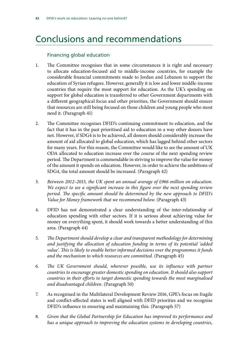## <span id="page-43-0"></span>Conclusions and recommendations

## Financing global education

- 1. The Committee recognises that in some circumstances it is right and necessary to allocate education-focused aid to middle-income countries, for example the considerable financial commitments made to Jordan and Lebanon to support the education of Syrian refugees. However, generally it is low and lower middle-income countries that require the most support for education. As the UK's spending on support for global education is transferred to other Government departments with a different geographical focus and other priorities, the Government should ensure that resources are still being focused on those children and young people who most need it. (Paragraph 41)
- 2. The Committee recognises DFID's continuing commitment to education, and the fact that it has in the past prioritised aid to education in a way other donors have not. However, if SDG4 is to be achieved, all donors should considerably increase the amount of aid allocated to global education, which has lagged behind other sectors for many years. For this reason, the Committee would like to see the amount of UK ODA allocated to education increase over the course of the next spending review period. The Department is commendable in striving to improve the value for money of the amount it spends on education. However, in order to achieve the ambitions of SDG4, the total amount should be increased. (Paragraph 42)
- 3. *Between 2012–2015, the UK spent an annual average of £966 million on education. We expect to see a significant increase in this figure over the next spending review period. The specific amount should be determined by the new approach to DFID's Value for Money framework that we recommend below.* (Paragraph 43)
- 4. DFID has not demonstrated a clear understanding of the inter-relationship of education spending with other sectors. If it is serious about achieving value for money on everything spent, it should work towards a better understanding of this area. (Paragraph 44)
- 5. *The Department should develop a clear and transparent methodology for determining and justifying the allocation of education funding in terms of its potential 'added value'. This is likely to enable better informed decisions over the programmes it funds and the mechanism to which resources are committed.* (Paragraph 45)
- 6. *The UK Government should, wherever possible, use its influence with partner countries to encourage greater domestic spending on education. It should also support countries in their efforts to target domestic spending towards the most marginalised and disadvantaged children.* (Paragraph 50)
- 7. As recognised in the Multilateral Development Review 2016, GPE's focus on fragile and conflict-affected states is well aligned with DFID priorities and we recognise DFID's influence in ensuring and maintaining this. (Paragraph 57)
- 8. *Given that the Global Partnership for Education has improved its performance and has a unique approach to improving the education systems in developing countries,*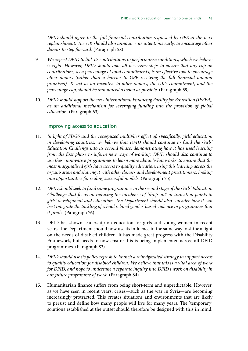*DFID should agree to the full financial contribution requested by GPE at the next replenishment. The UK should also announce its intentions early, to encourage other donors to step forward.* (Paragraph 58)

- 9. *We expect DFID to link its contributions to performance conditions, which we believe is right. However, DFID should take all necessary steps to ensure that any cap on contributions, as a percentage of total commitments, is an effective tool to encourage other donors (rather than a barrier to GPE receiving the full financial amount promised). To act as an incentive to other donors, the UK's commitment, and the percentage cap, should be announced as soon as possible.* (Paragraph 59)
- 10. *DFID should support the new International Financing Facility for Education (IFFEd), as an additional mechanism for leveraging funding into the provision of global education.* (Paragraph 63)

### Improving access to education

- 11. *In light of SDG5 and the recognised multiplier effect of, specifically, girls' education in developing countries, we believe that DFID should continue to fund the Girls' Education Challenge into its second phase, demonstrating how it has used learning from the first phase to inform new ways of working. DFID should also continue to use these innovative programmes to learn more about 'what works' to ensure that the most marginalised girls have access to quality education, using this learning across the organisation and sharing it with other donors and development practitioners, looking into opportunities for scaling successful models.* (Paragraph 75)
- 12. *DFID should seek to fund some programmes in the second stage of the Girls' Education Challenge that focus on reducing the incidence of 'drop out' at transition points in girls' development and education. The Department should also consider how it can best integrate the tackling of school related gender-based violence in programmes that it funds.* (Paragraph 76)
- 13. DFID has shown leadership on education for girls and young women in recent years. The Department should now use its influence in the same way to shine a light on the needs of disabled children. It has made great progress with the Disability Framework, but needs to now ensure this is being implemented across all DFID programmes. (Paragraph 83)
- 14. *DFID should use its policy refresh to launch a reinvigorated strategy to support access to quality education for disabled children. We believe that this is a vital area of work for DFID, and hope to undertake a separate inquiry into DFID's work on disability in our future programme of work.* (Paragraph 84)
- 15. Humanitarian finance suffers from being short-term and unpredictable. However, as we have seen in recent years, crises—such as the war in Syria—are becoming increasingly protracted. This creates situations and environments that are likely to persist and define how many people will live for many years. The 'temporary' solutions established at the outset should therefore be designed with this in mind.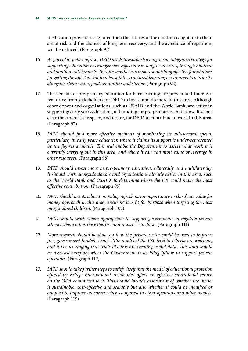If education provision is ignored then the futures of the children caught up in them are at risk and the chances of long term recovery, and the avoidance of repetition, will be reduced. (Paragraph 91)

- 16. *As part of its policy refresh, DFID needs to establish a long-term, integrated strategy for supporting education in emergencies, especially in long-term crises, through bilateral and multilateral channels. The aim should be to make establishing effective foundations for getting the affected children back into structured learning environments a priority alongside clean water, food, sanitation and shelter.* (Paragraph 92)
- 17. The benefits of pre-primary education for later learning are proven and there is a real drive from stakeholders for DFID to invest and do more in this area. Although other donors and organisations, such as USAID and the World Bank, are active in supporting early years education, aid funding for pre-primary remains low. It seems clear that there is the space, and desire, for DFID to contribute to work in this area. (Paragraph 97)
- 18. *DFID should find more effective methods of monitoring its sub-sectoral spend, particularly in early years education where it claims its support is under-represented by the figures available. This will enable the Department to assess what work it is currently carrying out in this area, and where it can add most value or leverage in other resources.* (Paragraph 98)
- 19. *DFID should invest more in pre-primary education, bilaterally and multilaterally. It should work alongside donors and organisations already active in this area, such as the World Bank and USAID, to determine where the UK could make the most effective contribution.* (Paragraph 99)
- 20. *DFID should use its education policy refresh as an opportunity to clarify its value for money approach in this area, ensuring it is fit for purpose when targeting the most marginalised children.* (Paragraph 102)
- 21. *DFID should work where appropriate to support governments to regulate private schools where it has the expertise and resources to do so.* (Paragraph 111)
- 22. *More research should be done on how the private sector could be used to improve free, government funded schools. The results of the PSL trial in Liberia are welcome, and it is encouraging that trials like this are creating useful data. This data should be assessed carefully when the Government is deciding if/how to support private operators.* (Paragraph 112)
- 23. *DFID should take further steps to satisfy itself that the model of educational provision offered by Bridge International Academies offers an effective educational return on the ODA committed to it. This should include assessment of whether the model is sustainable, cost-effective and scalable but also whether it could be modified or adapted to improve outcomes when compared to other operators and other models.* (Paragraph 119)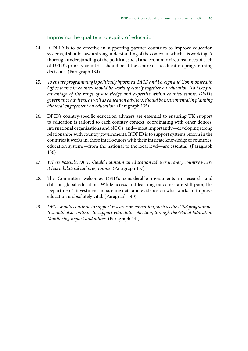### Improving the quality and equity of education

- 24. If DFID is to be effective in supporting partner countries to improve education systems, it should have a strong understanding of the context in which it is working. A thorough understanding of the political, social and economic circumstances of each of DFID's priority countries should be at the centre of its education programming decisions. (Paragraph 134)
- 25. *To ensure programming is politically informed, DFID and Foreign and Commonwealth Office teams in country should be working closely together on education. To take full advantage of the range of knowledge and expertise within country teams, DFID's governance advisers, as well as education advisers, should be instrumental in planning bilateral engagement on education.* (Paragraph 135)
- 26. DFID's country-specific education advisers are essential to ensuring UK support to education is tailored to each country context, coordinating with other donors, international organisations and NGOs, and—most importantly—developing strong relationships with country governments. If DFID is to support systems reform in the countries it works in, these interlocutors with their intricate knowledge of countries' education systems—from the national to the local level—are essential. (Paragraph 136)
- 27. *Where possible, DFID should maintain an education adviser in every country where it has a bilateral aid programme.* (Paragraph 137)
- 28. The Committee welcomes DFID's considerable investments in research and data on global education. While access and learning outcomes are still poor, the Department's investment in baseline data and evidence on what works to improve education is absolutely vital. (Paragraph 140)
- 29. *DFID should continue to support research on education, such as the RISE programme. It should also continue to support vital data collection, through the Global Education Monitoring Report and others.* (Paragraph 141)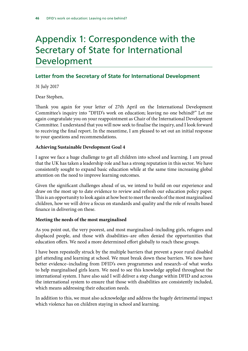## <span id="page-47-0"></span>Appendix 1: Correspondence with the Secretary of State for International Development

## **Letter from the Secretary of State for International Development**

31 July 2017

Dear Stephen,

Thank you again for your letter of 27th April on the International Development Committee's inquiry into "DFID's work on education; leaving no one behind?" Let me again congratulate you on your reappointment as Chair of the International Development Committee. I understand that you will now seek to finalise the inquiry, and I look forward to receiving the final report. In the meantime, I am pleased to set out an initial response to your questions and recommendations.

### **Achieving Sustainable Development Goal 4**

I agree we face a huge challenge to get all children into school and learning. I am proud that the UK has taken a leadership role and has a strong reputation in this sector. We have consistently sought to expand basic education while at the same time increasing global attention on the need to improve learning outcomes.

Given the significant challenges ahead of us, we intend to build on our experience and draw on the most up to date evidence to review and refresh our education policy paper. This is an opportunity to look again at how best to meet the needs of the most marginalised children, how we will drive a focus on standards and quality and the role of results based finance in delivering on these.

### **Meeting the needs of the most marginalised**

As you point out, the very poorest, and most marginalised–including girls, refugees and displaced people, and those with disabilities–are often denied the opportunities that education offers. We need a more determined effort globally to reach these groups.

I have been repeatedly struck by the multiple barriers that prevent a poor rural disabled girl attending and learning at school. We must break down these barriers. We now have better evidence–including from DFID's own programmes and research–of what works to help marginalised girls learn. We need to see this knowledge applied throughout the international system. I have also said I will deliver a step change within DFID and across the international system to ensure that those with disabilities are consistently included, which means addressing their education needs.

In addition to this, we must also acknowledge and address the hugely detrimental impact which violence has on children staying in school and learning.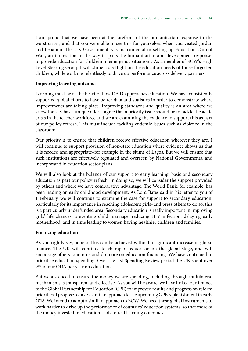I am proud that we have been at the forefront of the humanitarian response in the worst crises, and that you were able to see this for yourselves when you visited Jordan and Lebanon. The UK Government was instrumental in setting up Education Cannot Wait, an innovation in the way it spans the humanitarian and development response, to provide education for children in emergency situations. As a member of ECW's High Level Steering Group I will shine a spotlight on the education needs of those forgotten children, while working relentlessly to drive up performance across delivery partners.

### **Improving learning outcomes**

Learning must be at the heart of how DFID approaches education. We have consistently supported global efforts to have better data and statistics in order to demonstrate where improvements are taking place. Improving standards and quality is an area where we know the UK has a unique offer. I agree that a priority issue should be to tackle the acute crisis in the teacher workforce and we are examining the evidence to support this as part of our policy refresh. This must include tackling endemic issues such as violence in the classroom.

Our priority is to ensure that children receive effective education wherever they are. I will continue to support provision of non-state education where evidence shows us that it is needed and appropriate–for example in the slums of Lagos. But we will ensure that such institutions are effectively regulated and overseen by National Governments, and incorporated in education sector plans.

We will also look at the balance of our support to early learning, basic and secondary education as part our policy refresh. In doing so, we will consider the support provided by others and where we have comparative advantage. The World Bank, for example, has been leading on early childhood development. As Lord Bates said in his letter to you of 1 February, we will continue to examine the case for support to secondary education, particularly for its importance in reaching adolescent girls–and press others to do so: this is a particularly underfunded area. Secondary education is really important in improving girls' life chances, preventing child marriage, reducing HIV infection, delaying early motherhood, and in time leading to women having healthier children and families.

### **Financing education**

As you rightly say, none of this can be achieved without a significant increase in global finance. The UK will continue to champion education on the global stage, and will encourage others to join us and do more on education financing. We have continued to prioritise education spending. Over the last Spending Review period the UK spent over 9% of our ODA per year on education.

But we also need to ensure the money we are spending, including through multilateral mechanisms is transparent and effective. As you will be aware, we have linked our finance to the Global Partnership for Education (GPE) to improved results and progress on reform priorities. I propose to take a similar approach to the upcoming GPE replenishment in early 2018. We intend to adopt a similar approach to ECW. We need these global instruments to work harder to drive up the performance of countries' education systems, so that more of the money invested in education leads to real learning outcomes.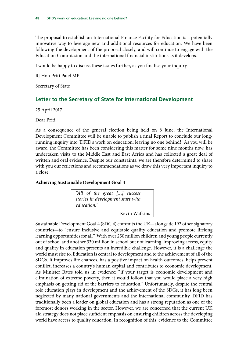The proposal to establish an International Finance Facility for Education is a potentially innovative way to leverage new and additional resources for education. We have been following the development of the proposal closely, and will continue to engage with the Education Commission and the international financial institutions as it develops.

I would be happy to discuss these issues further, as you finalise your inquiry.

Rt Hon Priti Patel MP

Secretary of State

## **Letter to the Secretary of State for International Development**

25 April 2017

Dear Priti,

As a consequence of the general election being held on 8 June, the International Development Committee will be unable to publish a final Report to conclude our longrunning inquiry into 'DFID's work on education: leaving no one behind?' As you will be aware, the Committee has been considering this matter for some nine months now, has undertaken visits to the Middle East and East Africa and has collected a great deal of written and oral evidence. Despite our constraints, we are therefore determined to share with you our reflections and recommendations as we draw this very important inquiry to a close.

### **Achieving Sustainable Development Goal 4**

*"All of the great […] success stories in development start with education."* —Kevin Watkins

Sustainable Development Goal 4 (SDG 4) commits the UK—alongside 192 other signatory countries—to "ensure inclusive and equitable quality education and promote lifelong learning opportunities for all". With over 250 million children and young people currently out of school and another 330 million in school but not learning, improving access, equity and quality in education presents an incredible challenge. However, it is a challenge the world must rise to. Education is central to development and to the achievement of all of the SDGs. It improves life chances, has a positive impact on health outcomes, helps prevent conflict, increases a country's human capital and contributes to economic development. As Minister Bates told us in evidence: "if your target is economic development and elimination of extreme poverty, then it would follow that you would place a very high emphasis on getting rid of the barriers to education." Unfortunately, despite the central role education plays in development and the achievement of the SDGs, it has long been neglected by many national governments and the international community. DFID has traditionally been a leader on global education and has a strong reputation as one of the foremost donors working in the sector. However, we are concerned that the current UK aid strategy does not place sufficient emphasis on ensuring children across the developing world have access to quality education. In recognition of this, evidence to the Committee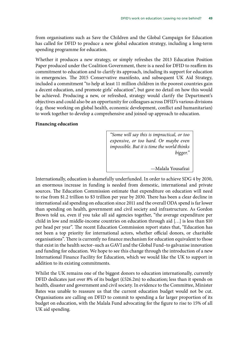from organisations such as Save the Children and the Global Campaign for Education has called for DFID to produce a new global education strategy, including a long-term spending programme for education.

Whether it produces a new strategy, or simply refreshes the 2013 Education Position Paper produced under the Coalition Government, there is a need for DFID to reaffirm its commitment to education and to clarify its approach, including its support for education in emergencies. The 2015 Conservative manifesto, and subsequent UK Aid Strategy, included a commitment "to help at least 11 million children in the poorest countries gain a decent education, and promote girls' education", but gave no detail on how this would be achieved. Producing a new, or refreshed, strategy would clarify the Department's objectives and could also be an opportunity for colleagues across DFID's various divisions (e.g. those working on global health, economic development, conflict and humanitarian) to work together to develop a comprehensive and joined-up approach to education.

#### **Financing education**

*"Some will say this is impractical, or too expensive, or too hard. Or maybe even impossible. But it is time the world thinks bigger."*

—Malala Yousafzai

Internationally, education is shamefully underfunded. In order to achieve SDG 4 by 2030, an enormous increase in funding is needed from domestic, international and private sources. The Education Commission estimate that expenditure on education will need to rise from \$1.2 trillion to \$3 trillion per year by 2030. There has been a clear decline in international aid spending on education since 2011 and the overall ODA spend is far lower than spending on health, government and civil society and infrastructure. As Gordon Brown told us, even if you take all aid agencies together, "the average expenditure per child in low and middle-income countries on education through aid […] is less than \$10 per head per year". The recent Education Commission report states that, "Education has not been a top priority for international actors, whether official donors, or charitable organisations". There is currently no finance mechanism for education equivalent to those that exist in the health sector–such as GAVI and the Global Fund–to galvanise innovation and funding for education. We hope to see this change through the introduction of a new International Finance Facility for Education, which we would like the UK to support in addition to its existing commitments.

Whilst the UK remains one of the biggest donors to education internationally, currently DFID dedicates just over 8% of its budget (£526.2m) to education; less than it spends on health, disaster and government and civil society. In evidence to the Committee, Minister Bates was unable to reassure us that the current education budget would not be cut. Organisations are calling on DFID to commit to spending a far larger proportion of its budget on education, with the Malala Fund advocating for the figure to rise to 15% of all UK aid spending.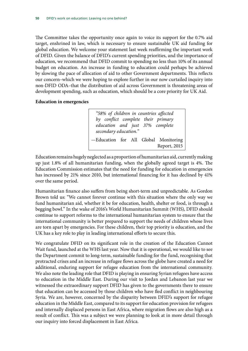The Committee takes the opportunity once again to voice its support for the 0.7% aid target, enshrined in law, which is necessary to ensure sustainable UK aid funding for global education. We welcome your statement last week reaffirming the important work of DFID. Given the balance of DFID's current spending priorities, and the importance of education, we recommend that DFID commit to spending no less than 10% of its annual budget on education. An increase in funding to education could perhaps be achieved by slowing the pace of allocation of aid to other Government departments. This reflects our concern–which we were hoping to explore further in our now curtailed inquiry into non-DFID ODA–that the distribution of aid across Government is threatening areas of development spending, such as education, which should be a core priority for UK Aid.

### **Education in emergencies**

*"58% of children in countries affected by conflict complete their primary education and just 37% complete secondary education."* —Education for All Global Monitoring Report, 2015

Education remains hugely neglected as a proportion of humanitarian aid, currently making up just 1.8% of all humanitarian funding, when the globally agreed target is 4%. The Education Commission estimates that the need for funding for education in emergencies has increased by 21% since 2010, but international financing for it has declined by 41% over the same period.

Humanitarian finance also suffers from being short-term and unpredictable. As Gordon Brown told us: "We cannot forever continue with this situation where the only way we fund humanitarian aid, whether it be for education, health, shelter or food, is through a begging bowl." In the wake of 2016's World Humanitarian Summit (WHS), DFID should continue to support reforms to the international humanitarian system to ensure that the international community is better prepared to support the needs of children whose lives are torn apart by emergencies. For these children, their top priority is education, and the UK has a key role to play in leading international efforts to secure this.

We congratulate DFID on its significant role in the creation of the Education Cannot Wait fund, launched at the WHS last year. Now that it is operational, we would like to see the Department commit to long-term, sustainable funding for the fund, recognising that protracted crises and an increase in refugee flows across the globe have created a need for additional, enduring support for refugee education from the international community. We also note the leading role that DFID is playing in ensuring Syrian refugees have access to education in the Middle East. During our visit to Jordan and Lebanon last year we witnessed the extraordinary support DFID has given to the governments there to ensure that education can be accessed by those children who have fled conflict in neighbouring Syria. We are, however, concerned by the disparity between DFID's support for refugee education in the Middle East, compared to its support for education provision for refugees and internally displaced persons in East Africa, where migration flows are also high as a result of conflict. This was a subject we were planning to look at in more detail through our inquiry into forced displacement in East Africa.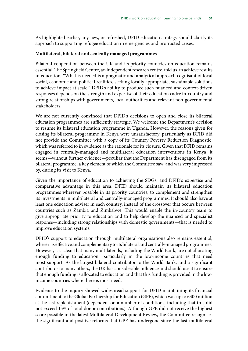As highlighted earlier, any new, or refreshed, DFID education strategy should clarify its approach to supporting refugee education in emergencies and protracted crises.

### **Multilateral, bilateral and centrally managed programmes**

Bilateral cooperation between the UK and its priority countries on education remains essential. The Springfield Centre, an independent research centre, told us, to achieve results in education, "What is needed is a pragmatic and analytical approach cognisant of local social, economic and political realities, seeking locally appropriate, sustainable solutions to achieve impact at scale." DFID's ability to produce such nuanced and context-driven responses depends on the strength and expertise of their education cadre in-country and strong relationships with governments, local authorities and relevant non-governmental stakeholders.

We are not currently convinced that DFID's decisions to open and close its bilateral education programmes are sufficiently strategic. We welcome the Department's decision to resume its bilateral education programme in Uganda. However, the reasons given for closing its bilateral programme in Kenya were unsatisfactory, particularly as DFID did not provide the Committee with a copy of its Country Poverty Reduction Diagnostic, which was referred to in evidence as the rationale for its closure. Given that DFID remains engaged in centrally-managed and multilateral education interventions in Kenya, it seems—without further evidence—peculiar that the Department has disengaged from its bilateral programme, a key element of which the Committee saw, and was very impressed by, during its visit to Kenya.

Given the importance of education to achieving the SDGs, and DFID's expertise and comparative advantage in this area, DFID should maintain its bilateral education programmes wherever possible in its priority countries, to complement and strengthen its investments in multilateral and centrally-managed programmes. It should also have at least one education adviser in each country, instead of the crossover that occurs between countries such as Zambia and Zimbabwe. This would enable the in-country team to give appropriate priority to education and to help develop the nuanced and specialist response—including strong relationships with domestic governments—that is needed to improve education systems.

DFID's support to education through multilateral organisations also remains essential, where it is effective and complementary to its bilateral and centrally-managed programmes. However, it is clear that many multilaterals, including the World Bank, are not allocating enough funding to education, particularly in the low-income countries that need most support. As the largest bilateral contributor to the World Bank, and a significant contributor to many others, the UK has considerable influence and should use it to ensure that enough funding is allocated to education and that this funding is provided in the lowincome countries where there is most need.

Evidence to the inquiry showed widespread support for DFID maintaining its financial commitment to the Global Partnership for Education (GPE), which was up to £300 million at the last replenishment (dependent on a number of conditions, including that this did not exceed 15% of total donor contributions). Although GPE did not receive the highest score possible in the latest Multilateral Development Review, the Committee recognises the significant and positive reforms that GPE has undergone since the last multilateral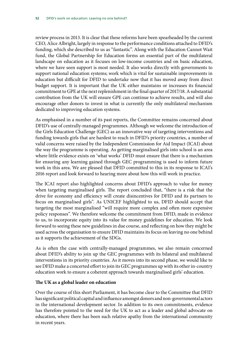review process in 2013. It is clear that these reforms have been spearheaded by the current CEO, Alice Albright, largely in response to the performance conditions attached to DFID's funding, which she described to us as "fantastic". Along with the Education Cannot Wait fund, the Global Partnership for Education forms an essential part of the multilateral landscape on education as it focuses on low-income countries and on basic education, where we have seen support is most needed. It also works directly with governments to support national education systems; work which is vital for sustainable improvements in education but difficult for DFID to undertake now that it has moved away from direct budget support. It is important that the UK either maintains or increases its financial commitment to GPE at the next replenishment in the final quarter of 2017/18. A substantial contribution from the UK will ensure GPE can continue to achieve results, and will also encourage other donors to invest in what is currently the only multilateral mechanism dedicated to improving education systems.

As emphasised in a number of its past reports, the Committee remains concerned about DFID's use of centrally-managed programmes. Although we welcome the introduction of the Girls Education Challenge (GEC) as an innovative way of targeting interventions and funding towards girls that are hardest to reach in DFID's priority countries, a number of valid concerns were raised by the Independent Commission for Aid Impact (ICAI) about the way the programme is operating. As getting marginalised girls into school is an area where little evidence exists on 'what works' DFID must ensure that there is a mechanism for ensuring any learning gained through GEC programming is used to inform future work in this area. We are pleased that DFID committed to this in its response to ICAI's 2016 report and look forward to hearing more about how this will work in practice.

The ICAI report also highlighted concerns about DFID's approach to value for money when targeting marginalised girls. The report concluded that, "there is a risk that the drive for economy and efficiency will create disincentives for DFID and its partners to focus on marginalised girls". As UNICEF highlighted to us, DFID should accept that targeting the most marginalised "will require more complex and often more expensive policy responses". We therefore welcome the commitment from DFID, made in evidence to us, to incorporate equity into its value for money guidelines for education. We look forward to seeing these new guidelines in due course, and reflecting on how they might be used across the organisation to ensure DFID maintains its focus on leaving no one behind as it supports the achievement of the SDGs.

As is often the case with centrally-managed programmes, we also remain concerned about DFID's ability to join up the GEC programmes with its bilateral and multilateral interventions in its priority countries. As it moves into its second phase, we would like to see DFID make a concerted effort to join its GEC programmes up with its other in-country education work to ensure a coherent approach towards marginalised girls' education.

### **The UK as a global leader on education**

Over the course of this short Parliament, it has become clear to the Committee that DFID has significant political capital and influence amongst donors and non-governmental actors in the international development sector. In addition to its own commitments, evidence has therefore pointed to the need for the UK to act as a leader and global advocate on education, where there has been such relative apathy from the international community in recent years.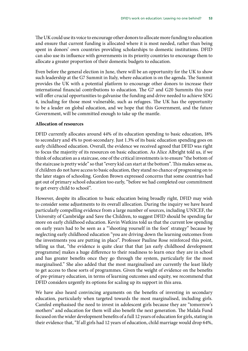The UK could use its voice to encourage other donors to allocate more funding to education and ensure that current funding is allocated where it is most needed, rather than being spent in donors' own countries providing scholarships to domestic institutions. DFID can also use its influence with governments in its priority countries to encourage them to allocate a greater proportion of their domestic budgets to education.

Even before the general election in June, there will be an opportunity for the UK to show such leadership at the G7 Summit in Italy, where education is on the agenda. The Summit provides the UK with a potential platform to encourage other donors to increase their international financial contributions to education. The G7 and G20 Summits this year will offer crucial opportunities to galvanise the funding and drive needed to achieve SDG 4, including for those most vulnerable, such as refugees. The UK has the opportunity to be a leader on global education, and we hope that this Government, and the future Government, will be committed enough to take up the mantle.

#### **Allocation of resources**

DFID currently allocates around 44% of its education spending to basic education, 18% to secondary and 4% to post-secondary. Just 1.3% of its basic education spending goes on early childhood education. Overall, the evidence we received agreed that DFID was right to focus the majority of its resources on basic education. As Alice Albright told us, if we think of education as a staircase, one of the critical investments is to ensure "the bottom of the staircase is pretty wide" so that "every kid can start at the bottom". This makes sense as, if children do not have access to basic education, they stand no chance of progressing on to the later stages of schooling. Gordon Brown expressed concerns that some countries had got out of primary school education too early, "before we had completed our commitment to get every child to school".

However, despite its allocation to basic education being broadly right, DFID may wish to consider some adjustments to its overall allocation. During the inquiry we have heard particularly compelling evidence from a large number of sources, including UNICEF, the University of Cambridge and Save the Children, to suggest DFID should be spending far more on early childhood education. Kevin Watkins told us that the current low spending on early years had to be seen as a "'shooting yourself in the foot' strategy" because by neglecting early childhood education "you are driving down the learning outcomes from the investments you are putting in place". Professor Pauline Rose reinforced this point, telling us that, "the evidence is quite clear that that [an early childhood development programme] makes a huge difference to their readiness to learn once they are in school and has greater benefits once they go through the system, particularly for the most marginalised." She also added that the most marginalised are currently the least likely to get access to these sorts of programmes. Given the weight of evidence on the benefits of pre-primary education, in terms of learning outcomes and equity, we recommend that DFID considers urgently its options for scaling up its support in this area.

We have also heard convincing arguments on the benefits of investing in secondary education, particularly when targeted towards the most marginalised, including girls. Camfed emphasised the need to invest in adolescent girls because they are "tomorrow's mothers" and education for them will also benefit the next generation. The Malala Fund focused on the wider development benefits of a full 12 years of education for girls, stating in their evidence that, "If all girls had 12 years of education, child marriage would drop 64%,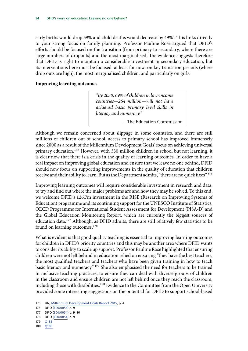early births would drop 59% and child deaths would decrease by 49%". This links directly to your strong focus on family planning. Professor Pauline Rose argued that DFID's efforts should be focused on the transition [from primary to secondary, where there are large numbers of dropouts] and the most marginalised. The evidence suggests therefore that DFID is right to maintain a considerable investment in secondary education, but its interventions here must be focused–at least for now–on key transition periods (where drop outs are high), the most marginalised children, and particularly on girls.

### **Improving learning outcomes**

*"By 2030, 69% of children in low-income countries—264 million—will not have achieved basic primary level skills in literacy and numeracy."*

—The Education Commission

Although we remain concerned about slippage in some countries, and there are still millions of children out of school, access to primary school has improved immensely since 2000 as a result of the Millennium Development Goals' focus on achieving universal primary education.<sup>175</sup> However, with 330 million children in school but not learning, it is clear now that there is a crisis in the quality of learning outcomes. In order to have a real impact on improving global education and ensure that we leave no one behind, DFID should now focus on supporting improvements in the quality of education that children receive and their ability to learn. But as the Department admits, "there are no quick fixes".176

Improving learning outcomes will require considerable investment in research and data, to try and find out where the major problems are and how they may be solved. To this end, we welcome DFID's £26.7m investment in the RISE (Research on Improving Systems of Education) programme and its continuing support for the UNESCO Institute of Statistics, OECD Programme for International Student Assessment for Development (PISA-D) and the Global Education Monitoring Report, which are currently the biggest sources of education data.177 Although, as DFID admits, there are still relatively few statistics to be found on learning outcomes.<sup>178</sup>

What is evident is that good quality teaching is essential to improving learning outcomes for children in DFID's priority countries and this may be another area where DFID wants to consider its ability to scale up support. Professor Pauline Rose highlighted that ensuring children were not left behind in education relied on ensuring "they have the best teachers, the most qualified teachers and teachers who have been given training in how to teach basic literacy and numeracy".179 She also emphasised the need for teachers to be trained in inclusive teaching practices, to ensure they can deal with diverse groups of children in the classroom and ensure children are not left behind once they reach the classroom, including those with disabilities.<sup>180</sup> Evidence to the Committee from the Open University provided some interesting suggestions on the potential for DFID to support school-based

180 [Q188](http://data.parliament.uk/writtenevidence/committeeevidence.svc/evidencedocument/international-development-committee/dfids-work-on-education-leaving-no-one-behind/oral/47513.html)

<sup>175</sup> UN, [Millennium Development Goals Report 2015](http://www.un.org/millenniumgoals/2015_MDG_Report/pdf/MDG%202015%20rev%20(July%201).pdf), p. 4

<sup>176</sup> DFID [\(EDU0054](http://data.parliament.uk/writtenevidence/committeeevidence.svc/evidencedocument/international-development-committee/dfids-work-on-education-leaving-no-one-behind/written/40132.html)) p. 9

<sup>177</sup> DFID [\(EDU0054](http://data.parliament.uk/writtenevidence/committeeevidence.svc/evidencedocument/international-development-committee/dfids-work-on-education-leaving-no-one-behind/written/40132.html)) p. 9–10

<sup>178</sup> DFID [\(EDU0054](http://data.parliament.uk/writtenevidence/committeeevidence.svc/evidencedocument/international-development-committee/dfids-work-on-education-leaving-no-one-behind/written/40132.html)) p. 9

<sup>179</sup> [Q188](http://data.parliament.uk/writtenevidence/committeeevidence.svc/evidencedocument/international-development-committee/dfids-work-on-education-leaving-no-one-behind/oral/47513.html)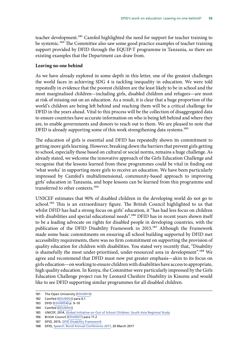teacher development.<sup>181</sup> Camfed highlighted the need for support for teacher training to be systemic.<sup>182</sup> The Committee also saw some good practice examples of teacher training support provided by DFID through the EQUIP-T programme in Tanzania, so there are existing examples that the Department can draw from.

#### **Leaving no one behind**

As we have already explored in some depth in this letter, one of the greatest challenges the world faces in achieving SDG 4 is tackling inequality in education. We were told repeatedly in evidence that the poorest children are the least likely to be in school and the most marginalised children—including girls, disabled children and refugees—are most at risk of missing out on an education. As a result, it is clear that a huge proportion of the world's children are being left behind and reaching them will be a critical challenge for DFID in the years ahead. Vital to this process will be the collection of disaggregated data to ensure countries have accurate information on who is being left behind and where they are, to enable governments and donors to reach out to them. We are pleased to note that DFID is already supporting some of this work strengthening data systems.<sup>183</sup>

The education of girls is essential and DFID has repeatedly shown its commitment to getting more girls learning. However, breaking down the barriers that prevent girls getting to school, especially those based on cultural or social norms, remains a huge challenge. As already stated, we welcome the innovative approach of the Girls Education Challenge and recognise that the lessons learned from these programmes could be vital in finding out 'what works' in supporting more girls to receive an education. We have been particularly impressed by Camfed's multidimensional, community-based approach to improving girls' education in Tanzania, and hope lessons can be learned from this programme and transferred to other contexts.<sup>184</sup>

UNICEF estimates that 90% of disabled children in the developing world do not go to school.<sup>185</sup> This is an extraordinary figure. The British Council highlighted to us that whilst DFID has had a strong focus on girls' education, it "has had less focus on children with disabilities and special educational needs".<sup>186</sup> DFID has in recent years shown itself to be a leading advocate on rights for disabled people in developing countries, with the publication of the DFID Disability Framework in 2015.<sup>187</sup> Although the Framework made some basic commitments on ensuring all school building supported by DFID met accessibility requirements, there was no firm commitment on supporting the provision of quality education for children with disabilities. You stated very recently that, "Disability is shamefully the most under-prioritised, under-resourced area in development".<sup>188</sup> We agree and recommend that DFID must now put greater emphasis—akin to its focus on girls education—on working to ensure children with disabilities have access to appropriate, high quality education. In Kenya, the Committee were particularly impressed by the Girls Education Challenge project run by Leonard Cheshire Disability in Kisumu and would like to see DFID supporting similar programmes for all disabled children.

187 DFID, 2015, [DFID Disability Framework](https://www.gov.uk/government/uploads/system/uploads/attachment_data/file/554802/DFID-Disability-Framework-2015.pdf)

<sup>181</sup> The Open University [\(EDU0013](http://data.parliament.uk/writtenevidence/committeeevidence.svc/evidencedocument/international-development-committee/dfids-work-on-education-leaving-no-one-behind/written/38309.html))

<sup>182</sup> Camfed [\(EDU0053\)](http://data.parliament.uk/writtenevidence/committeeevidence.svc/evidencedocument/international-development-committee/dfids-work-on-education-leaving-no-one-behind/written/40131.html) para 6.1

<sup>183</sup> DFID [\(EDU0054](http://data.parliament.uk/writtenevidence/committeeevidence.svc/evidencedocument/international-development-committee/dfids-work-on-education-leaving-no-one-behind/written/40132.html)) p. 9–10

<sup>184</sup> Camfed [\(EDU0053\)](http://data.parliament.uk/writtenevidence/committeeevidence.svc/evidencedocument/international-development-committee/dfids-work-on-education-leaving-no-one-behind/written/40131.html)

<sup>185</sup> UNICEF, 2014, [Global Initiative on Out of School Children: South Asia Regional Study](https://www.unicef.org/education/files/SouthAsia_OOSCI_Study__Executive_Summary_26Jan_14Final.pdf)

<sup>186</sup> British Council [\(EDU0027](http://data.parliament.uk/writtenevidence/committeeevidence.svc/evidencedocument/international-development-committee/dfids-work-on-education-leaving-no-one-behind/written/38360.pdf)) para 11.2

<sup>188</sup> DFID, [Speech: Bond Annual Conference 2017](https://www.gov.uk/government/speeches/bond-annual-conference-2017), 20 March 2017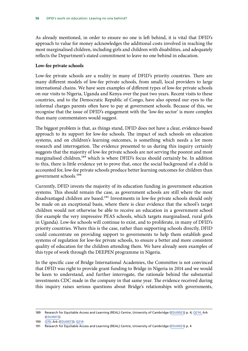As already mentioned, in order to ensure no one is left behind, it is vital that DFID's approach to value for money acknowledges the additional costs involved in reaching the most marginalised children, including girls and children with disabilities, and adequately reflects the Department's stated commitment to leave no one behind in education.

### **Low-fee private schools**

Low-fee private schools are a reality in many of DFID's priority countries. There are many different models of low-fee private schools, from small, local providers to large international chains. We have seen examples of different types of low-fee private schools on our visits to Nigeria, Uganda and Kenya over the past two years. Recent visits to these countries, and to the Democratic Republic of Congo, have also opened our eyes to the informal charges parents often have to pay at government schools. Because of this, we recognise that the issue of DFID's engagement with the 'low-fee sector' is more complex than many commentators would suggest.

The biggest problem is that, as things stand, DFID does not have a clear, evidence-based approach to its support for low-fee schools. The impact of such schools on education systems, and on children's learning outcomes, is something which needs a lot more research and interrogation. The evidence presented to us during this inquiry certainly suggests that the majority of low-fee private schools are not serving the poorest and most marginalised children,<sup>189</sup> which is where DFID's focus should certainly be. In addition to this, there is little evidence yet to prove that, once the social background of a child is accounted for, low-fee private schools produce better learning outcomes for children than government schools.190

Currently, DFID invests the majority of its education funding in government education systems. This should remain the case, as government schools are still where the most disadvantaged children are based.<sup>191</sup> Investments in low-fee private schools should only be made on an exceptional basis, where there is clear evidence that the school's target children would not otherwise be able to receive an education in a government school (for example the very impressive PEAS schools, which targets marginalised, rural girls in Uganda). Low-fee schools will continue to exist, and to proliferate, in many of DFID's priority countries. Where this is the case, rather than supporting schools directly, DFID could concentrate on providing support to governments to help them establish good systems of regulation for low-fee private schools, to ensure a better and more consistent quality of education for the children attending them. We have already seen examples of this type of work through the DEEPEN programme in Nigeria.

In the specific case of Bridge International Academies, the Committee is not convinced that DFID was right to provide grant funding to Bridge in Nigeria in 2014 and we would be keen to understand, and further interrogate, the rationale behind the substantial investments CDC made in the company in that same year. The evidence received during this inquiry raises serious questions about Bridge's relationships with governments,

<sup>189</sup> Research for Equitable Access and Learning (REAL) Centre, University of Cambridge ([EDU0023](http://data.parliament.uk/writtenevidence/committeeevidence.svc/evidencedocument/international-development-committee/dfids-work-on-education-leaving-no-one-behind/written/38349.html)) p. 4; [Q214](http://data.parliament.uk/writtenevidence/committeeevidence.svc/evidencedocument/international-development-committee/dfids-work-on-education-leaving-no-one-behind/oral/47513.html); Ark [\(EDU0073\)](http://data.parliament.uk/writtenevidence/committeeevidence.svc/evidencedocument/international-development-committee/dfids-work-on-education-leaving-no-one-behind/written/69083.html)

<sup>190</sup> [Q70;](http://data.parliament.uk/writtenevidence/committeeevidence.svc/evidencedocument/international-development-committee/dfids-work-on-education-leaving-no-one-behind/oral/45291.html) Ark [\(EDU0073\)](http://data.parliament.uk/writtenevidence/committeeevidence.svc/evidencedocument/international-development-committee/dfids-work-on-education-leaving-no-one-behind/written/69083.html); [Q214](http://data.parliament.uk/writtenevidence/committeeevidence.svc/evidencedocument/international-development-committee/dfids-work-on-education-leaving-no-one-behind/oral/47513.html)

<sup>191</sup> Research for Equitable Access and Learning (REAL) Centre, University of Cambridge ([EDU0023](http://data.parliament.uk/writtenevidence/committeeevidence.svc/evidencedocument/international-development-committee/dfids-work-on-education-leaving-no-one-behind/written/38349.html)) p. 4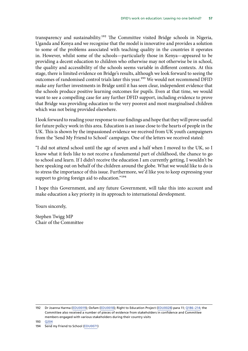transparency and sustainability.<sup>192</sup> The Committee visited Bridge schools in Nigeria, Uganda and Kenya and we recognise that the model is innovative and provides a solution to some of the problems associated with teaching quality in the countries it operates in. However, whilst some of the schools—particularly those in Kenya—appeared to be providing a decent education to children who otherwise may not otherwise be in school, the quality and accessibility of the schools seems variable in different contexts. At this stage, there is limited evidence on Bridge's results, although we look forward to seeing the outcomes of randomised control trials later this year.<sup>193</sup> We would not recommend DFID make any further investments in Bridge until it has seen clear, independent evidence that the schools produce positive learning outcomes for pupils. Even at that time, we would want to see a compelling case for any further DFID support, including evidence to prove that Bridge was providing education to the very poorest and most marginalised children which was not being provided elsewhere.

I look forward to reading your response to our findings and hope that they will prove useful for future policy work in this area. Education is an issue close to the hearts of people in the UK. This is shown by the impassioned evidence we received from UK youth campaigners from the 'Send My Friend to School' campaign. One of the letters we received stated:

"I did not attend school until the age of seven and a half when I moved to the UK, so I know what it feels like to not receive a fundamental part of childhood, the chance to go to school and learn. If I didn't receive the education I am currently getting, I wouldn't be here speaking out on behalf of the children around the globe. What we would like to do is to stress the importance of this issue. Furthermore, we'd like you to keep expressing your support to giving foreign aid to education."<sup>194</sup>

I hope this Government, and any future Government, will take this into account and make education a key priority in its approach to international development.

Yours sincerely,

Stephen Twigg MP Chair of the Committee

<sup>192</sup> Dr Joanna Harma [\(EDU0019](http://data.parliament.uk/writtenevidence/committeeevidence.svc/evidencedocument/international-development-committee/dfids-work-on-education-leaving-no-one-behind/written/38340.html)); Oxfam ([EDU0018\)](http://data.parliament.uk/writtenevidence/committeeevidence.svc/evidencedocument/international-development-committee/dfids-work-on-education-leaving-no-one-behind/written/38339.html); Right to Education Project ([EDU0028](http://data.parliament.uk/writtenevidence/committeeevidence.svc/evidencedocument/international-development-committee/dfids-work-on-education-leaving-no-one-behind/written/38376.html)) para 11; [Q186–214;](http://data.parliament.uk/writtenevidence/committeeevidence.svc/evidencedocument/international-development-committee/dfids-work-on-education-leaving-no-one-behind/oral/49579.html) the Committee also received a number of pieces of evidence from stakeholders in confidence and Committee members engaged with various stakeholders during their country visits

<sup>193</sup> [Q204](http://data.parliament.uk/writtenevidence/committeeevidence.svc/evidencedocument/international-development-committee/dfids-work-on-education-leaving-no-one-behind/oral/49579.html)

<sup>194</sup> Send my Friend to School [\(EDU0071](http://data.parliament.uk/writtenevidence/committeeevidence.svc/evidencedocument/international-development-committee/dfids-work-on-education-leaving-no-one-behind/written/69020.html))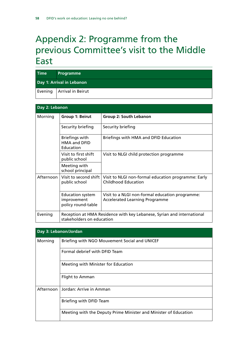## <span id="page-59-0"></span>Appendix 2: Programme from the previous Committee's visit to the Middle East

| <b>Time</b>               | Programme                   |  |
|---------------------------|-----------------------------|--|
| Day 1: Arrival in Lebanon |                             |  |
|                           | Evening   Arrival in Beirut |  |

| Day 2: Lebanon |                                                                                                     |                                                                                          |  |
|----------------|-----------------------------------------------------------------------------------------------------|------------------------------------------------------------------------------------------|--|
| Morning        | Group 1: Beirut                                                                                     | Group 2: South Lebanon                                                                   |  |
|                | Security briefing                                                                                   | Security briefing                                                                        |  |
|                | Briefings with<br><b>HMA and DFID</b><br>Education                                                  | Briefings with HMA and DFID Education                                                    |  |
|                | Visit to first shift<br>public school                                                               | Visit to NLGI child protection programme                                                 |  |
|                | Meeting with<br>school principal                                                                    |                                                                                          |  |
| Afternoon      | Visit to second shift<br>public school                                                              | Visit to NLGI non-formal education programme: Early<br>Childhood Education               |  |
|                | <b>Education system</b><br>improvement<br>policy round-table                                        | Visit to a NLGI non-formal education programme:<br><b>Accelerated Learning Programme</b> |  |
| Evening        | Reception at HMA Residence with key Lebanese, Syrian and international<br>stakeholders on education |                                                                                          |  |

| Day 3: Lebanon/Jordan |                                                                  |  |  |
|-----------------------|------------------------------------------------------------------|--|--|
| Morning               | Briefing with NGO Mouvement Social and UNICEF                    |  |  |
|                       | Formal debrief with DFID Team                                    |  |  |
|                       | Meeting with Minister for Education                              |  |  |
|                       | Flight to Amman                                                  |  |  |
|                       | Afternoon   Jordan: Arrive in Amman                              |  |  |
|                       | Briefing with DFID Team                                          |  |  |
|                       | Meeting with the Deputy Prime Minister and Minister of Education |  |  |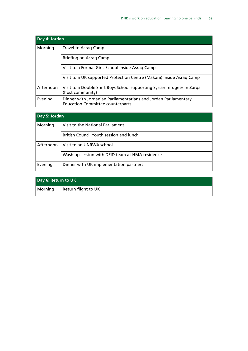| Day 4: Jordan                                    |                                                                                                            |  |  |
|--------------------------------------------------|------------------------------------------------------------------------------------------------------------|--|--|
| Morning<br>Travel to Asrag Camp                  |                                                                                                            |  |  |
|                                                  | Briefing on Asrag Camp                                                                                     |  |  |
| Visit to a Formal Girls School inside Asrag Camp |                                                                                                            |  |  |
|                                                  | Visit to a UK supported Protection Centre (Makani) inside Asrag Camp                                       |  |  |
| Afternoon                                        | Visit to a Double Shift Boys School supporting Syrian refugees in Zarga<br>(host community)                |  |  |
| Evening                                          | Dinner with Jordanian Parliamentarians and Jordan Parliamentary<br><b>Education Committee counterparts</b> |  |  |

| Day 5: Jordan |                                                 |  |  |
|---------------|-------------------------------------------------|--|--|
| Morning       | Visit to the National Parliament                |  |  |
|               | British Council Youth session and lunch         |  |  |
| Afternoon     | l Visit to an UNRWA school                      |  |  |
|               | Wash up session with DFID team at HMA residence |  |  |
| Evening       | Dinner with UK implementation partners          |  |  |

| Day 6: Return to UK |                     |
|---------------------|---------------------|
| Morning             | Return flight to UK |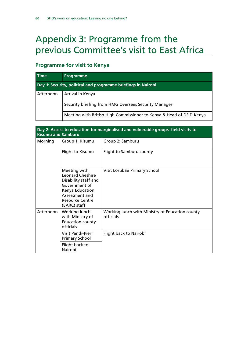## <span id="page-61-0"></span>Appendix 3: Programme from the previous Committee's visit to East Africa

## **Programme for visit to Kenya**

| <b>Time</b>                                                   | <b>Programme</b>                                                     |  |  |
|---------------------------------------------------------------|----------------------------------------------------------------------|--|--|
| Day 1: Security, political and programme briefings in Nairobi |                                                                      |  |  |
| Afternoon                                                     | Arrival in Kenya                                                     |  |  |
|                                                               | Security briefing from HMG Oversees Security Manager                 |  |  |
|                                                               | Meeting with British High Commissioner to Kenya & Head of DFID Kenya |  |  |

| Day 2: Access to education for marginalised and vulnerable groups-field visits to<br><b>Kisumu and Samburu</b> |                                                                                                                                                                 |                                                              |  |  |
|----------------------------------------------------------------------------------------------------------------|-----------------------------------------------------------------------------------------------------------------------------------------------------------------|--------------------------------------------------------------|--|--|
| Morning                                                                                                        | Group 1: Kisumu                                                                                                                                                 | Group 2: Samburu                                             |  |  |
|                                                                                                                | Flight to Kisumu                                                                                                                                                | Flight to Samburu county                                     |  |  |
|                                                                                                                | Meeting with<br><b>Leonard Cheshire</b><br>Disability staff and<br>Government of<br>Kenya Education<br>Assessment and<br><b>Resource Centre</b><br>(EARC) staff | Visit Lorubae Primary School                                 |  |  |
| Afternoon                                                                                                      | Working lunch<br>with Ministry of<br><b>Education county</b><br>officials                                                                                       | Working lunch with Ministry of Education county<br>officials |  |  |
|                                                                                                                | Visit Pandi-Pieri<br><b>Primary School</b>                                                                                                                      | Flight back to Nairobi                                       |  |  |
|                                                                                                                | Flight back to<br>Nairobi                                                                                                                                       |                                                              |  |  |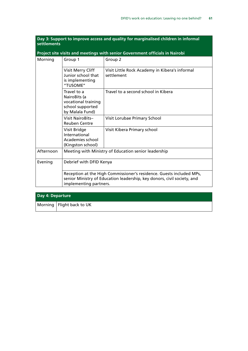| settlements |                                                                                                                                                                           | Day 5. Support to improve access and quality for marginalised children in informal |
|-------------|---------------------------------------------------------------------------------------------------------------------------------------------------------------------------|------------------------------------------------------------------------------------|
|             |                                                                                                                                                                           | Project site visits and meetings with senior Government officials in Nairobi       |
| Morning     | Group 1                                                                                                                                                                   | Group 2                                                                            |
|             | Visit Merry Cliff<br>Junior school that<br>is implementing<br>"TUSOME"                                                                                                    | Visit Little Rock Academy in Kibera's informal<br>settlement                       |
|             | Travel to a<br>NairoBits (a<br>vocational training<br>school supported<br>by Malala Fund)                                                                                 | Travel to a second school in Kibera                                                |
|             | <b>Visit NairoBits-</b><br><b>Reuben Centre</b>                                                                                                                           | Visit Lorubae Primary School                                                       |
|             | Visit Bridge<br>International<br>Academies school<br>(Kingston school)                                                                                                    | Visit Kibera Primary school                                                        |
| Afternoon   | Meeting with Ministry of Education senior leadership                                                                                                                      |                                                                                    |
| Evening     | Debrief with DFID Kenya                                                                                                                                                   |                                                                                    |
|             | Reception at the High Commissioner's residence. Guests included MPs,<br>senior Ministry of Education leadership, key donors, civil society, and<br>implementing partners. |                                                                                    |

| Day 4: Departure |                             |
|------------------|-----------------------------|
|                  | Morning   Flight back to UK |

## **Day 3: Support to improve access and quality for marginalised children in informal**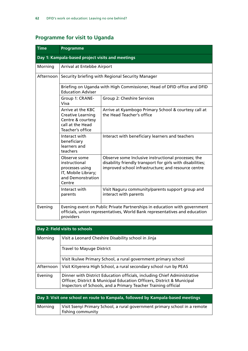## **Programme for visit to Uganda**

| <b>Time</b> | Programme                                                                                                                                                            |                                                                                                                                                                          |  |  |
|-------------|----------------------------------------------------------------------------------------------------------------------------------------------------------------------|--------------------------------------------------------------------------------------------------------------------------------------------------------------------------|--|--|
|             | Day 1: Kampala-based project visits and meetings                                                                                                                     |                                                                                                                                                                          |  |  |
| Morning     | Arrival at Entebbe Airport                                                                                                                                           |                                                                                                                                                                          |  |  |
| Afternoon   | Security briefing with Regional Security Manager                                                                                                                     |                                                                                                                                                                          |  |  |
|             | Briefing on Uganda with High Commissioner, Head of DFID office and DFID<br><b>Education Adviser</b>                                                                  |                                                                                                                                                                          |  |  |
|             | Group 1: CRANE-<br>Viva                                                                                                                                              | Group 2: Cheshire Services                                                                                                                                               |  |  |
|             | Arrive at the KBC<br><b>Creative Learning</b><br>Centre & courtesy<br>call at the Head<br>Teacher's office                                                           | Arrive at Kyambogo Primary School & courtesy call at<br>the Head Teacher's office                                                                                        |  |  |
|             | Interact with<br>beneficiary<br>learners and<br>teachers                                                                                                             | Interact with beneficiary learners and teachers                                                                                                                          |  |  |
|             | Observe some<br>instructional<br>processes using<br>IT, Mobile Library;<br>and Demonstration<br>Centre                                                               | Observe some Inclusive instructional processes; the<br>disability friendly transport for girls with disabilities;<br>improved school infrastructure; and resource centre |  |  |
|             | Interact with<br>parents                                                                                                                                             | Visit Naguru community/parents support group and<br>interact with parents                                                                                                |  |  |
| Evening     | Evening event on Public Private Partnerships in education with government<br>officials, union representatives, World Bank representatives and education<br>providers |                                                                                                                                                                          |  |  |

| Day 2: Field visits to schools |                                                                                                                                                                                                                      |  |
|--------------------------------|----------------------------------------------------------------------------------------------------------------------------------------------------------------------------------------------------------------------|--|
| Morning                        | Visit a Leonard Cheshire Disability school in Jinja                                                                                                                                                                  |  |
|                                | <b>Travel to Mayuge District</b>                                                                                                                                                                                     |  |
|                                | Visit Ikulwe Primary School, a rural government primary school                                                                                                                                                       |  |
| Afternoon                      | Visit Kityerera High School, a rural secondary school run by PEAS                                                                                                                                                    |  |
| Evening                        | Dinner with District Education officials, including Chief Administrative<br>Officer, District & Municipal Education Officers, District & Municipal<br>Inspectors of Schools, and a Primary Teacher Training official |  |

| Day 3: Visit one school en route to Kampala, followed by Kampala-based meetings |                                                                                                 |  |
|---------------------------------------------------------------------------------|-------------------------------------------------------------------------------------------------|--|
| Morning                                                                         | Visit Ssenyi Primary School, a rural government primary school in a remote<br>fishing community |  |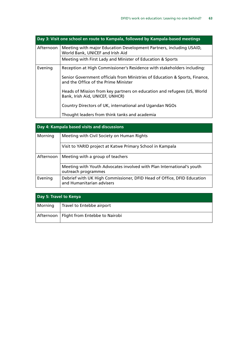| Day 3: Visit one school en route to Kampala, followed by Kampala-based meetings |                                                                                                                     |  |
|---------------------------------------------------------------------------------|---------------------------------------------------------------------------------------------------------------------|--|
| Afternoon                                                                       | Meeting with major Education Development Partners, including USAID,<br>World Bank, UNICEF and Irish Aid             |  |
|                                                                                 | Meeting with First Lady and Minister of Education & Sports                                                          |  |
| Evening                                                                         | Reception at High Commissioner's Residence with stakeholders including:                                             |  |
|                                                                                 | Senior Government officials from Ministries of Education & Sports, Finance,<br>and the Office of the Prime Minister |  |
|                                                                                 | Heads of Mission from key partners on education and refugees (US, World<br>Bank, Irish Aid, UNICEF, UNHCR)          |  |
|                                                                                 | Country Directors of UK, international and Ugandan NGOs                                                             |  |
|                                                                                 | Thought leaders from think tanks and academia                                                                       |  |

| Day 4: Kampala based visits and discussions |                                                                                                     |  |
|---------------------------------------------|-----------------------------------------------------------------------------------------------------|--|
| Morning                                     | Meeting with Civil Society on Human Rights                                                          |  |
|                                             | Visit to YARID project at Katwe Primary School in Kampala                                           |  |
| Afternoon                                   | Meeting with a group of teachers                                                                    |  |
|                                             | Meeting with Youth Advocates involved with Plan International's youth<br>outreach programmes        |  |
| Evening                                     | Debrief with UK High Commissioner, DFID Head of Office, DFID Education<br>and Humanitarian advisers |  |

| Day 5: Travel to Kenya |                                            |  |
|------------------------|--------------------------------------------|--|
| Morning                | Travel to Entebbe airport                  |  |
|                        | Afternoon   Flight from Entebbe to Nairobi |  |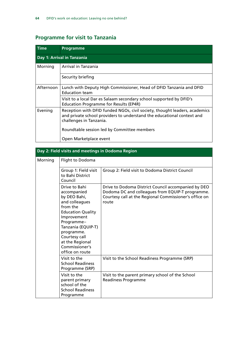## **Programme for visit to Tanzania**

| <b>Time</b> | <b>Programme</b>                                                                                                                                                                |
|-------------|---------------------------------------------------------------------------------------------------------------------------------------------------------------------------------|
|             | Day 1: Arrival in Tanzania                                                                                                                                                      |
| Morning     | Arrival in Tanzania                                                                                                                                                             |
|             | Security briefing                                                                                                                                                               |
| Afternoon   | Lunch with Deputy High Commissioner, Head of DFID Tanzania and DFID<br><b>Education team</b>                                                                                    |
|             | Visit to a local Dar es Salaam secondary school supported by DFID's<br><b>Education Programme for Results (EP4R)</b>                                                            |
| Evening     | Reception with DFID funded NGOs, civil society, thought leaders, academics<br>and private school providers to understand the educational context and<br>challenges in Tanzania. |
|             | Roundtable session led by Committee members                                                                                                                                     |
|             | Open Marketplace event                                                                                                                                                          |

| Day 2: Field visits and meetings in Dodoma Region |                                                                                                                                                                                                                                                  |                                                                                                                                                                            |
|---------------------------------------------------|--------------------------------------------------------------------------------------------------------------------------------------------------------------------------------------------------------------------------------------------------|----------------------------------------------------------------------------------------------------------------------------------------------------------------------------|
| Morning                                           | Flight to Dodoma                                                                                                                                                                                                                                 |                                                                                                                                                                            |
|                                                   | Group 1: Field visit<br>to Bahi District<br>Council                                                                                                                                                                                              | Group 2: Field visit to Dodoma District Council                                                                                                                            |
|                                                   | Drive to Bahi<br>accompanied<br>by DEO Bahi,<br>and colleagues<br>from the<br><b>Education Quality</b><br>Improvement<br>Programme-<br>Tanzania (EQUIP-T)<br>programme.<br>Courtesy call<br>at the Regional<br>Commissioner's<br>office on route | Drive to Dodoma District Council accompanied by DEO<br>Dodoma DC and colleagues from EQUIP-T programme.<br>Courtesy call at the Regional Commissioner's office on<br>route |
|                                                   | Visit to the<br><b>School Readiness</b><br>Programme (SRP)                                                                                                                                                                                       | Visit to the School Readiness Programme (SRP)                                                                                                                              |
|                                                   | Visit to the<br>parent primary<br>school of the<br><b>School Readiness</b><br>Programme                                                                                                                                                          | Visit to the parent primary school of the School<br><b>Readiness Programme</b>                                                                                             |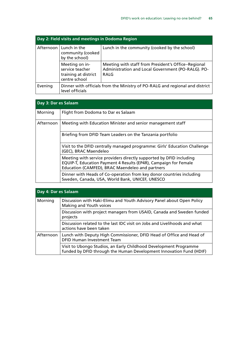| Day 2: Field visits and meetings in Dodoma Region |                                                                            |                                                                                                                   |
|---------------------------------------------------|----------------------------------------------------------------------------|-------------------------------------------------------------------------------------------------------------------|
|                                                   | Afternoon $ $ Lunch in the<br>community (cooked<br>by the school)          | Lunch in the community (cooked by the school)                                                                     |
|                                                   | Meeting on in-<br>service teacher<br>training at district<br>centre school | Meeting with staff from President's Office-Regional<br>Administration and Local Government (PO-RALG). PO-<br>RALG |
| Evening                                           | level officials                                                            | Dinner with officials from the Ministry of PO-RALG and regional and district                                      |

| Day 3: Dar es Salaam |                                                                                                                                                                                            |
|----------------------|--------------------------------------------------------------------------------------------------------------------------------------------------------------------------------------------|
| Morning              | Flight from Dodoma to Dar es Salaam                                                                                                                                                        |
| Afternoon            | Meeting with Education Minister and senior management staff                                                                                                                                |
|                      | Briefing from DFID Team Leaders on the Tanzania portfolio                                                                                                                                  |
|                      | Visit to the DFID centrally managed programme: Girls' Education Challenge<br>(GEC), BRAC Maendeleo                                                                                         |
|                      | Meeting with service providers directly supported by DFID including<br>EQUIP-T, Education Payment 4 Results (EP4R), Campaign for Female<br>Education (CAMFED), BRAC Maendeleo and partners |
|                      | Dinner with Heads of Co-operation from key donor countries including<br>Sweden, Canada, USA, World Bank, UNICEF, UNESCO                                                                    |

| Day 4: Dar es Salaam |                                                                                                                                          |  |
|----------------------|------------------------------------------------------------------------------------------------------------------------------------------|--|
| Morning              | Discussion with Haki-Elimu and Youth Advisory Panel about Open Policy<br>Making and Youth voices                                         |  |
|                      | Discussion with project managers from USAID, Canada and Sweden funded<br>projects                                                        |  |
|                      | Discussion related to the last IDC visit on Jobs and Livelihoods and what<br>actions have been taken                                     |  |
| Afternoon            | Lunch with Deputy High Commissioner, DFID Head of Office and Head of<br><b>DFID Human Investment Team</b>                                |  |
|                      | Visit to Ubongo Studios, an Early Childhood Development Programme<br>funded by DFID through the Human Development Innovation Fund (HDIF) |  |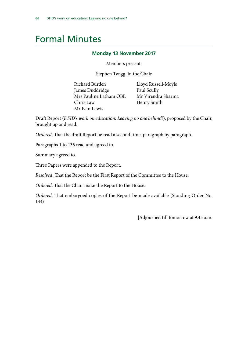## <span id="page-67-0"></span>Formal Minutes

## **Monday 13 November 2017**

Members present:

Stephen Twigg, in the Chair

Richard Burden Lloyd Russell-Moyle James Duddridge Paul Scully Mrs Pauline Latham OBE Mr Virendra Sharma Chris Law Henry Smith Mr Ivan Lewis

Draft Report (*DFID's work on education: Leaving no one behind?*), proposed by the Chair, brought up and read.

*Ordered*, That the draft Report be read a second time, paragraph by paragraph.

Paragraphs 1 to 136 read and agreed to.

Summary agreed to.

Three Papers were appended to the Report.

*Resolved*, That the Report be the First Report of the Committee to the House.

*Ordered*, That the Chair make the Report to the House.

*Ordered*, That embargoed copies of the Report be made available (Standing Order No. 134).

[Adjourned till tomorrow at 9.45 a.m.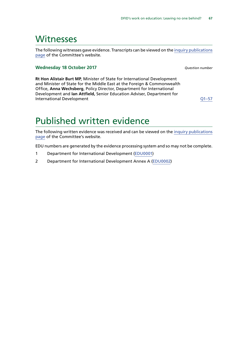## <span id="page-68-0"></span>**Witnesses**

The following witnesses gave evidence. Transcripts can be viewed on the [inquiry publications](http://www.parliament.uk/business/committees/committees-a-z/commons-select/international-development-committee/inquiries/parliament-2017/dfids-work-on-education-17-19/publications/) [page](http://www.parliament.uk/business/committees/committees-a-z/commons-select/international-development-committee/inquiries/parliament-2017/dfids-work-on-education-17-19/publications/) of the Committee's website.

#### **Wednesday 18 October 2017** *Question number*

**Rt Hon Alistair Burt MP**, Minister of State for International Development and Minister of State for the Middle East at the Foreign & Commonwealth Office, **Anna Wechsberg**, Policy Director, Department for International Development and **Ian Attfield,** Senior Education Adviser, Department for International Development [Q1–57](http://data.parliament.uk/writtenevidence/committeeevidence.svc/evidencedocument/international-development-committee/dfids-work-on-education-leaving-no-one-behind/oral/71536.html)

## Published written evidence

The following written evidence was received and can be viewed on the [inquiry publications](http://www.parliament.uk/business/committees/committees-a-z/commons-select/international-development-committee/inquiries/parliament-2017/dfids-work-on-education-17-19/publications/) [page](http://www.parliament.uk/business/committees/committees-a-z/commons-select/international-development-committee/inquiries/parliament-2017/dfids-work-on-education-17-19/publications/) of the Committee's website.

EDU numbers are generated by the evidence processing system and so may not be complete.

- 1 Department for International Development ([EDU0001\)](http://data.parliament.uk/WrittenEvidence/CommitteeEvidence.svc/EvidenceDocument/International%20Development/DFIDs%20work%20on%20education%20Leaving%20no%20one%20behind/written/71478.html)
- 2 Department for International Development Annex A ([EDU0002](http://data.parliament.uk/writtenevidence/committeeevidence.svc/evidencedocument/international-development-committee/dfids-work-on-education-leaving-no-one-behind/written/72979.html))